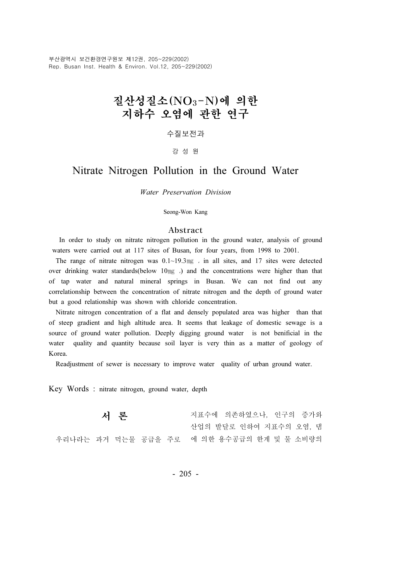부산광역시 보건환경연구원보 제12권, 205~229(2002) Rep. Busan Inst. Health & Environ. Vol.12, 205~229(2002)

# 질산성질소(NO3-N)에 의한 지하수 오염에 관한 연구

#### 수질보전과

### 강성원

## Nitrate Nitrogen Pollution in the Ground Water

Water Preservation Division

Seong-Won Kang

#### Abstract

In order to study on nitrate nitrogen pollution in the ground water, analysis of ground waters were carried out at 117 sites of Busan, for four years, from 1998 to 2001.

The range of nitrate nitrogen was  $0.1 \sim 19.3$  and ill sites, and 17 sites were detected over drinking water standards(below  $10$   $\text{m}$  ) and the concentrations were higher than that of tap water and natural mineral springs in Busan. We can not find out any correlationship between the concentration of nitrate nitrogen and the depth of ground water but a good relationship was shown with chloride concentration.

Nitrate nitrogen concentration of a flat and densely populated area was higher than that of steep gradient and high altitude area. It seems that leakage of domestic sewage is a source of ground water pollution. Deeply digging ground water is not benificial in the water quality and quantity because soil layer is very thin as a matter of geology of Korea.

Readjustment of sewer is necessary to improve water quality of urban ground water.

Key Words : nitrate nitrogen, ground water, depth

서 론 우리나라는 과거 먹는물 공급을 주로 에 의한 용수공급의 한계 및 물 소비량의지표수에 의존하였으나, 인구의 증가와 산업의 발달로 인하여 지표수의 오염, 댐

- 205 -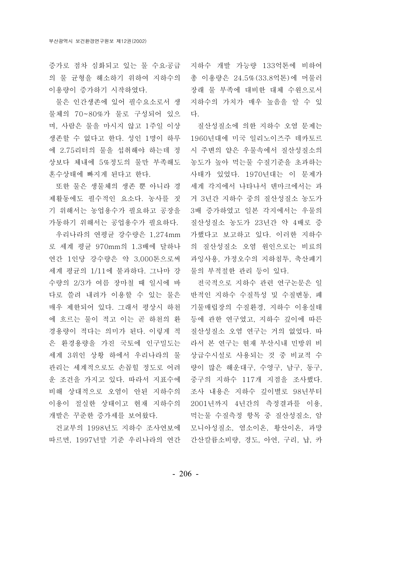증가로 점차 심화되고 있는 물 수요·공급 지하수 개발 가능량 133억톤에 비하여 이용량이 증가하기 시작하였다.

물은 인간생존에 있어 필수요소로서 생 물체의 70~80%가 물로 구성되어 있으 며, 사람은 물을 마시지 않고 1주일 이상 생존할 수 없다고 한다. 성인 1명이 하루 에 2.75리터의 물을 섭취해야 하는데 정 상보다 체내에 5%정도의 물만 부족해도 혼수상태에 빠지게 된다고 한다.

또한 물은 생물체의 생존 뿐 아니라 경 제활동에도 필수적인 요소다. 농사를 짓 기 위해서는 농업용수가 필요하고 공장을 가동하기 위해서는 공업용수가 필요하다.

우리나라의 연평균 강수량은 1,274mm 로 세계 평균 970mm의 1.3배에 달하나 연간 1인당 강수량은 약 3,000톤으로써 세계 평균의 1/11에 불과하다. 그나마 강 수량의 2/3가 여름 장마철 때 일시에 바 다로 쓸려 내려가 이용할 수 있는 물은 매우 제한되어 있다 그래서 평상시 하천 . 에 흐르는 물이 적고 이는 곧 하천의 환 경용량이 적다는 의미가 된다. 이렇게 적 은 환경용량을 가진 국토에 인구밀도는 세계 3위인 상황 하에서 우리나라의 물 관리는 세계적으로도 손꼽힐 정도로 어려 운 조건을 가지고 있다. 따라서 지표수에 비해 상대적으로 오염이 안된 지하수의 이용이 절실한 상태이고 현재 지하수의 개발은 꾸준한 증가세를 보여왔다.

따르면, 1997년말 기준 우리나라의 연간 간산칼륨소비량, 경도, 아연, 구리, 납, 카

의 물 균형을 해소하기 위하여 지하수의 총 이용량은 24.5%(33.8억톤)에 머물러 장래 물 부족에 대비한 대체 수원으로서 지하수의 가치가 매우 높음을 알 수 있 다.

> 질산성질소에 의한 지하수 오염 문제는 1960년대에 미국 일리노이즈주 데카토르 시 주변의 얕은 우물속에서 질산성질소의 농도가 높아 먹는물 수질기준을 초과하는 사태가 있었다. 1970년대는 이 문제가 세계 각지에서 나타나서 덴마크에서는 과 거 3년간 지하수 중의 질산성질소 농도가 3배 증가하였고 일본 각지에서는 우물의 질산성질소 농도가 23년간 약 4배로 증 가했다고 보고하고 있다. 이러한 지하수 의 질산성질소 오염 원인으로는 비료의 과잉사용, 가정오수의 지하침투, 축산폐기 물의 부적절한 관리 등이 있다.

건교부의 1998년도 지하수 조사연보에 모니아성질소, 염소이온, 황산이온, 과망 전국적으로 지하수 관련 연구논문은 일 반적인 지하수 수질특성 및 수질변동 폐, 기물매립장의 수질환경, 지하수 이용실태 등에 관한 연구였고, 지하수 깊이에 따른 질산성질소 오염 연구는 거의 없었다. 따 라서 본 연구는 현재 부산시내 민방위 비 상급수시설로 사용되는 것 중 비교적 수 량이 많은 해운대구, 수영구, 남구, 동구, 중구의 지하수 117개 지점을 조사했다. 조사 내용은 지하수 깊이별로 98년부터 2001년까지 4년간의 측정결과를 이용. 먹는물 수질측정 항목 중 질산성질소, 암

- 206 -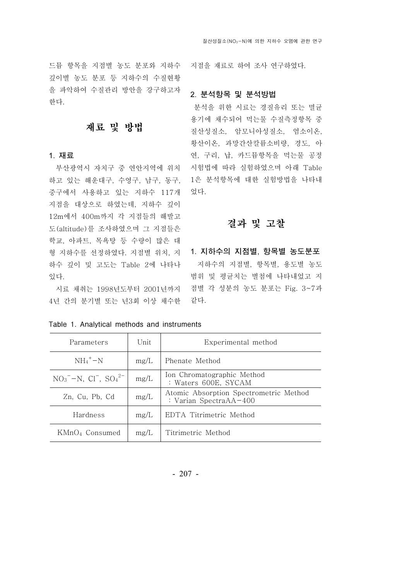드뮴 항목을 지점별 농도 분포와 지하수 지점을 재료로 하여 조사 연구하였다. 깊이별 농도 분포 등 지하수의 수질현황 을 파악하여 수질관리 방안을 강구하고자 한다.

## 재료 및 방법

#### 1. 재료

부산광역시 자치구 중 연안지역에 위치 중구에서 사용하고 있는 지하수 117개 지점을 대상으로 하였는데, 지하수 깊이 12m 400m 에서 까지 각 지점들의 해발고 도 (altitude)를 조사하였으며 그 지점들은 학교, 아파트, 목욕탕 등 수량이 많은 대 형 지하수를 선정하였다. 지점별 위치, 지 하수 깊이 및 고도는 Table 2에 나타나 있다.

4년 간의 분기별 또는 년3회 이상 채수한 같다.

#### 2. 분석항목 및 분석방법

하고 있는 해운대구, 수영구, 남구, 동구, 1은 분석항목에 대한 실험방법을 나타내 분석을 위한 시료는 경질유리 또는 멸균 용기에 채수되어 먹는물 수질측정항목 중 질산성질소, 암모니아성질소, 염소이온, 황산이온, 과망간산칼륨소비량, 경도, 아 연, 구리, 납, 카드뮴항목을 먹는물 공정 시험법에 따라 실험하였으며 아래 Table 었다.

# 결과 및 고찰

시료 채취는 1998년도부터 2001년까지 점별 각 성분의 농도 분포는 Fig. 3~7과 1. 지하수의 지점별, 항목별 농도분포 지하수의 지점별, 항목별, 용도별 농도 범위 및 평균치는 별첨에 나타내었고 지

| Parameters                                                     | Unit | Experimental method                                              |
|----------------------------------------------------------------|------|------------------------------------------------------------------|
| $NH_4^+$ -N                                                    | mg/L | Phenate Method                                                   |
| $NO_3$ <sup>-</sup> -N, Cl <sup>-</sup> , $SO_4$ <sup>2-</sup> | mg/L | Ion Chromatographic Method<br>: Waters 600E, SYCAM               |
| Zn, Cu, Pb, Cd                                                 | mg/L | Atomic Absorption Spectrometric Method<br>: Varian SpectraAA-400 |
| Hardness                                                       | mg/L | EDTA Titrimetric Method                                          |
| KMnO <sub>4</sub> Consumed                                     | mg/L | Titrimetric Method                                               |

Table 1. Analytical methods and instruments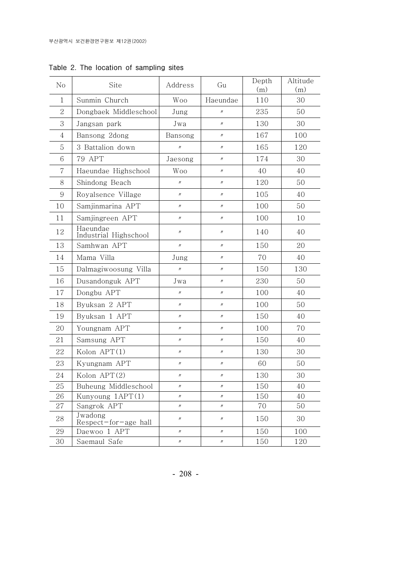| No             | Site                              | Address           | Gu                | Depth<br>(m) | Altitude<br>(m) |
|----------------|-----------------------------------|-------------------|-------------------|--------------|-----------------|
| $\mathbf{1}$   | Sunmin Church                     | <b>Woo</b>        | Haeundae          | 110          | 30              |
| $\overline{2}$ | Dongbaek Middleschool             | Jung              | $^{\prime\prime}$ | 235          | 50              |
| 3              | Jangsan park                      | Jwa               | $\prime\prime$    | 130          | 30              |
| $\overline{4}$ | Bansong 2dong                     | Bansong           | $\prime\prime$    | 167          | 100             |
| 5              | 3 Battalion down                  | $\prime\prime$    | $\prime\prime$    | 165          | 120             |
| 6              | 79 APT                            | Jaesong           | $\prime\prime$    | 174          | 30              |
| 7              | Haeundae Highschool               | <b>Woo</b>        | $\prime\prime$    | 40           | 40              |
| 8              | Shindong Beach                    | $\prime\prime$    | $^{\prime\prime}$ | 120          | 50              |
| 9              | Royalsence Village                | $^{\prime\prime}$ | $\prime\prime$    | 105          | 40              |
| 10             | Samjinmarina APT                  | $\prime\prime$    | $\prime\prime$    | 100          | 50              |
| 11             | Samjingreen APT                   | $^{\prime\prime}$ | $^{\prime\prime}$ | 100          | 10              |
| 12             | Haeundae<br>Industrial Highschool | $\prime\prime$    | $\prime\prime$    | 140          | 40              |
| 13             | Samhwan APT                       | $\prime\prime$    | $\prime\prime$    | 150          | 20              |
| 14             | Mama Villa                        | Jung              | $^{\prime\prime}$ | 70           | 40              |
| 15             | Dalmagiwoosung Villa              | $\prime\prime$    | $\prime\prime$    | 150          | 130             |
| 16             | Dusandonguk APT                   | Jwa               | $^{\prime\prime}$ | 230          | 50              |
| 17             | Dongbu APT                        | $\prime\prime$    | $\prime\prime$    | 100          | 40              |
| 18             | Byuksan 2 APT                     | $^{\prime\prime}$ | $^{\prime\prime}$ | 100          | 50              |
| 19             | Byuksan 1 APT                     | $\prime\prime$    | $\prime\prime$    | 150          | 40              |
| 20             | Youngnam APT                      | $\prime\prime$    | $\prime\prime$    | 100          | 70              |
| 21             | Samsung APT                       | $\prime\prime$    | $^{\prime\prime}$ | 150          | 40              |
| 22             | Kolon $APT(1)$                    | $\prime\prime$    | $\prime\prime$    | 130          | 30              |
| 23             | Kyungnam APT                      | $\prime\prime$    | $\prime\prime$    | 60           | 50              |
| 24             | Kolon $APT(2)$                    | $\prime\prime$    | $\prime\prime$    | 130          | 30              |
| 25             | Buheung Middleschool              | $\prime\prime$    | $\prime\prime$    | 150          | 40              |
| 26             | Kunyoung 1APT(1)                  | $^{\prime\prime}$ | $^{\prime\prime}$ | 150          | 40              |
| 27             | Sangrok APT                       | $\prime\prime$    | $\prime\prime$    | 70           | 50              |
| 28             | Jwadong<br>Respect-for-age hall   | $\prime\prime$    | $\prime\prime$    | 150          | 30              |
| 29             | Daewoo 1 APT                      | $\prime\prime$    | $\prime\prime$    | 150          | 100             |
| 30             | Saemaul Safe                      | $^{\prime\prime}$ | $^{\prime\prime}$ | 150          | 120             |

Table 2. The location of sampling sites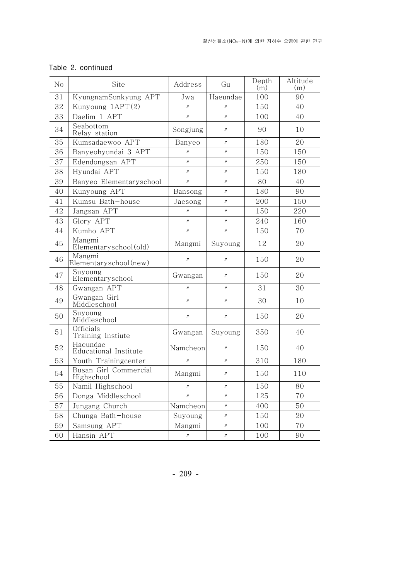| N <sub>o</sub> | Site                                | Address           | Gu                | Depth<br>(m) | Altitude<br>(m) |
|----------------|-------------------------------------|-------------------|-------------------|--------------|-----------------|
| 31             | KyungnamSunkyung APT                | Jwa               | Haeundae          | 100          | 90              |
| 32             | Kunyoung 1APT(2)                    | $^{\prime\prime}$ | $^{\prime\prime}$ | 150          | 40              |
| 33             | Daelim 1 APT                        | $^{\prime\prime}$ | $^{\prime\prime}$ | 100          | 40              |
| 34             | Seabottom<br>Relay station          | Songjung          | $\prime\prime$    | 90           | 10              |
| 35             | Kumsadaewoo APT                     | Banyeo            | $^{\prime\prime}$ | 180          | 20              |
| 36             | Banyeohyundai 3 APT                 | $^{\prime\prime}$ | $\prime\prime$    | 150          | 150             |
| 37             | Edendongsan APT                     | $^{\prime\prime}$ | $\prime\prime$    | 250          | 150             |
| 38             | Hyundai APT                         | $^{\prime\prime}$ | $\prime\prime$    | 150          | 180             |
| 39             | Banyeo Elementaryschool             | $^{\prime\prime}$ | $^{\prime\prime}$ | 80           | 40              |
| 40             | Kunyoung APT                        | Bansong           | $\prime\prime$    | 180          | 90              |
| 41             | Kumsu Bath-house                    | Jaesong           | $\prime\prime$    | 200          | 150             |
| 42             | Jangsan APT                         | $^{\prime\prime}$ | $^{\prime\prime}$ | 150          | 220             |
| 43             | Glory APT                           | $^{\prime\prime}$ | $\prime\prime$    | 240          | 160             |
| 44             | Kumho APT                           | $^{\prime\prime}$ | $^{\prime\prime}$ | 150          | 70              |
| 45             | Mangmi<br>Elementaryschool(old)     | Mangmi            | Suyoung           | 12           | 20              |
| 46             | Mangmi<br>Elementaryschool(new)     | $^{\prime\prime}$ | $\prime\prime$    | 150          | 20              |
| 47             | Suyoung<br>Elementaryschool         | Gwangan           | $\prime\prime$    | 150          | 20              |
| 48             | Gwangan APT                         | $^{\prime\prime}$ | $\prime\prime$    | 31           | 30              |
| 49             | Gwangan Girl<br>Middleschool        | $^{\prime\prime}$ | $\prime\prime$    | 30           | 10              |
| 50             | Suyoung<br>Middleschool             | $\prime\prime$    | $\prime\prime$    | 150          | 20              |
| 51             | Officials<br>Training Instiute      | Gwangan           | Suyoung           | 350          | 40              |
| 52             | Haeundae<br>Educational Institute   | Namcheon          | $\prime\prime$    | 150          | 40              |
| 53             | Youth Trainingcenter                | $^{\prime\prime}$ | $^{\prime\prime}$ | 310          | 180             |
| 54             | Busan Girl Commercial<br>Highschool | Mangmi            | $\prime\prime$    | 150          | 110             |
| 55             | Namil Highschool                    | $^{\prime\prime}$ | $^{\prime\prime}$ | 150          | 80              |
| 56             | Donga Middleschool                  | $^{\prime\prime}$ | $\prime\prime$    | 125          | 70              |
| 57             | Jungang Church                      | Namcheon          | $\prime\prime$    | 400          | 50              |
| 58             | Chunga Bath-house                   | Suyoung           | $\prime\prime$    | 150          | 20              |
| 59             | Samsung APT                         | Mangmi            | $\prime\prime$    | 100          | 70              |
| 60             | Hansin APT                          | $\prime\prime$    | $^{\prime\prime}$ | 100          | 90              |

### Table 2. continued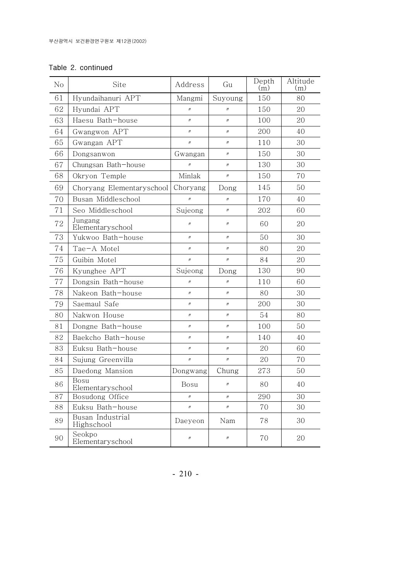|  |  |  | Table 2. continued |
|--|--|--|--------------------|
|--|--|--|--------------------|

| No | Site                           | Address           | Gu                | Depth<br>(m) | Altitude<br>(m) |
|----|--------------------------------|-------------------|-------------------|--------------|-----------------|
| 61 | Hyundaihanuri APT              | Mangmi            | Suyoung           | 150          | 80              |
| 62 | Hyundai APT                    | $\prime\prime$    | $^{\prime\prime}$ | 150          | 20              |
| 63 | Haesu Bath-house               | $\prime\prime$    | $^{\prime\prime}$ | 100          | 20              |
| 64 | Gwangwon APT                   | $^{\prime\prime}$ | $^{\prime\prime}$ | 200          | 40              |
| 65 | Gwangan APT                    | $\prime\prime$    | $^{\prime\prime}$ | 110          | 30              |
| 66 | Dongsanwon                     | Gwangan           | $\prime\prime$    | 150          | 30              |
| 67 | Chungsan Bath-house            | $\prime\prime$    | $^{\prime\prime}$ | 130          | 30              |
| 68 | Okryon Temple                  | Minlak            | $^{\prime\prime}$ | 150          | 70              |
| 69 | Choryang Elementaryschool      | Choryang          | Dong              | 145          | 50              |
| 70 | Busan Middleschool             | $^{\prime\prime}$ | $^{\prime\prime}$ | 170          | 40              |
| 71 | Seo Middleschool               | Sujeong           | $^{\prime\prime}$ | 202          | 60              |
| 72 | Jungang<br>Elementaryschool    | $\prime\prime$    | $^{\prime\prime}$ | 60           | 20              |
| 73 | Yukwoo Bath-house              | $^{\prime\prime}$ | $^{\prime\prime}$ | 50           | 30              |
| 74 | Tae-A Motel                    | $\prime\prime$    | $^{\prime\prime}$ | 80           | 20              |
| 75 | Guibin Motel                   | $\prime\prime$    | $^{\prime\prime}$ | 84           | 20              |
| 76 | Kyunghee APT                   | Sujeong           | Dong              | 130          | 90              |
| 77 | Dongsin Bath-house             | $\prime\prime$    | $^{\prime\prime}$ | 110          | 60              |
| 78 | Nakeon Bath-house              | $\prime\prime$    | $^{\prime\prime}$ | 80           | 30              |
| 79 | Saemaul Safe                   | $\prime\prime$    | $^{\prime\prime}$ | 200          | 30              |
| 80 | Nakwon House                   | $\prime\prime$    | $^{\prime\prime}$ | 54           | 80              |
| 81 | Dongne Bath-house              | $\prime\prime$    | $^{\prime\prime}$ | 100          | 50              |
| 82 | Baekcho Bath-house             | $\prime\prime$    | $^{\prime\prime}$ | 140          | 40              |
| 83 | Euksu Bath-house               | $\prime\prime$    | $^{\prime\prime}$ | 20           | 60              |
| 84 | Sujung Greenvilla              | $\prime\prime$    | $^{\prime\prime}$ | 20           | 70              |
| 85 | Daedong Mansion                | Dongwang          | Chung             | 273          | 50              |
| 86 | Bosu<br>Elementaryschool       | Bosu              |                   | $80\,$       | 40              |
| 87 | Bosudong Office                | $^{\prime\prime}$ | $^{\prime\prime}$ | 290          | 30              |
| 88 | Euksu Bath-house               | $\prime\prime$    | $^{\prime\prime}$ | 70           | 30              |
| 89 | Busan Industrial<br>Highschool | Daeyeon           | Nam               | 78           | 30              |
| 90 | Seokpo<br>Elementaryschool     | $\prime\prime$    | $\prime\prime$    | 70           | 20              |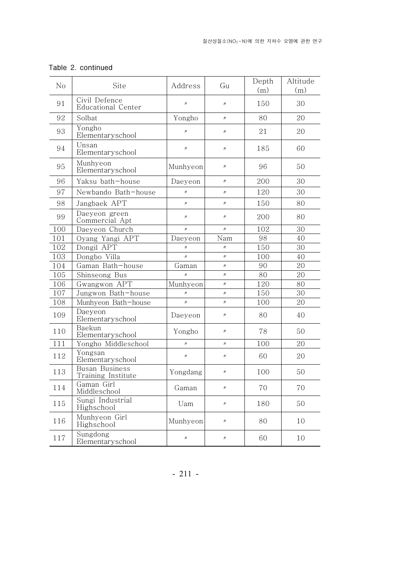| No  | Site                                        | Address           | Gu                | Depth<br>(m) | Altitude<br>(m) |
|-----|---------------------------------------------|-------------------|-------------------|--------------|-----------------|
| 91  | Civil Defence<br><b>Educational Center</b>  | $^{\prime\prime}$ | $\prime\prime$    | 150          | 30              |
| 92  | Solbat                                      | Yongho            | $\prime\prime$    | 80           | 20              |
| 93  | Yongho<br>Elementaryschool                  | $^{\prime\prime}$ | $\prime\prime$    | 21           | 20              |
| 94  | Unsan<br>Elementaryschool                   | $^{\prime\prime}$ | $\prime\prime$    | 185          | 60              |
| 95  | Munhyeon<br>Elementaryschool                | Munhyeon          | $\prime\prime$    | 96           | 50              |
| 96  | Yaksu bath-house                            | Daeyeon           | $\prime\prime$    | 200          | 30              |
| 97  | Newbando Bath-house                         | $\prime\prime$    | $\prime\prime$    | 120          | 30              |
| 98  | Jangbaek APT                                | $^{\prime\prime}$ | $\prime\prime$    | 150          | 80              |
| 99  | Daeyeon green<br>Commercial Apt             | $\prime\prime$    | $\prime\prime$    | 200          | 80              |
| 100 | Daeyeon Church                              | $^{\prime\prime}$ | $^{\prime\prime}$ | 102          | 30              |
| 101 | Oyang Yangi APT                             | Daeyeon           | Nam               | 98           | 40              |
| 102 | Dongil APT                                  | $\prime\prime$    | $\prime\prime$    | 150          | 30              |
| 103 | Dongbo Villa                                | $^{\prime\prime}$ | $^{\prime\prime}$ | 100          | 40              |
| 104 | Gaman Bath-house                            | Gaman             | $^{\prime\prime}$ | 90           | 20              |
| 105 | Shinseong Bus                               | $^{\prime\prime}$ | $\prime\prime$    | 80           | 20              |
| 106 | Gwangwon APT                                | Munhyeon          | $\prime\prime$    | 120          | 80              |
| 107 | Jungwon Bath-house                          | $^{\prime\prime}$ | $\prime\prime$    | 150          | 30              |
| 108 | Munhyeon Bath-house                         | $^{\prime\prime}$ | $^{\prime\prime}$ | 100          | 20              |
| 109 | Daeyeon<br>Elementaryschool                 | Daeyeon           | $\prime\prime$    | 80           | 40              |
| 110 | Baekun<br>Elementaryschool                  | Yongho            | $\prime\prime$    | 78           | 50              |
| 111 | Yongho Middleschool                         | $^{\prime\prime}$ | $\prime\prime$    | 100          | 20              |
| 112 | Yongsan<br>Elementaryschool                 | $\prime\prime$    | $\prime\prime$    | 60           | 20              |
| 113 | <b>Busan Business</b><br>Training Institute | Yongdang          | $\prime\prime$    | 100          | 50              |
| 114 | Gaman Girl<br>Middleschool                  | Gaman             | $\prime\prime$    | 70           | 70              |
| 115 | Sungi Industrial<br>Highschool              | Uam               | $\prime\prime$    | 180          | 50              |
| 116 | Munhyeon Girl<br>Highschool                 | Munhyeon          | $\prime\prime$    | 80           | 10              |
| 117 | Sungdong<br>Elementaryschool                | $\prime\prime$    | $\prime\prime$    | 60           | 10              |

### Table 2. continued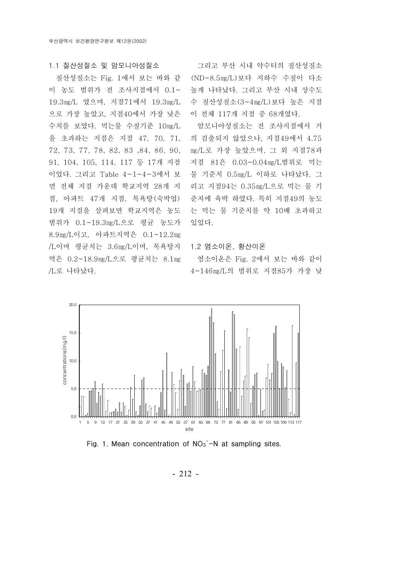#### 1.1 질산성질소 및 암모니아성질소

질산성질소는 Fig. 1에서 보는 바와 같 이 농도 범위가 전 조사지점에서 0.1~ 19.3 mg/L 였으며, 지점71에서 19.3 mg/L 으로 가장 높았고, 지점 40에서 가장 낮은 수치를 보였다. 먹는물 수질기준 10mg/L 을 초과하는 지점은 지점 47, 70, 71, 72, 73, 77, 78, 82, 83 ,84, 86, 90, 91, 104, 105, 114, 117 등 17개 지점 이었다. 그리고 Table 4-1~4-3에서 보 면 전체 지점 가운데 학교지역 28개 지 점, 아파트 47개 지점, 목욕탕 (숙박업) 19개 지점을 살펴보면 학교지역은 농도 범위가 0.1~19.3 mg/L으로 평균 농도가 8.9 mg/L이고, 아파트지역은 0.1~12.2 mg /L이며 평균치는 3.6mg/L이며, 목욕탕지 역은 0.2~18.9 mg/L으로 평균치는 8.1 mg /L로 나타났다.

그리고 부산 시내 약수터의 질산성질소 (ND~8.5mg/L)보다 지하수 수질이 다소 높게 나타났다. 그리고 부산 시내 상수도 수 질산성질소 (3~4mg/L) 보다 높은 지점 이 전체 117개 지점 중 68개였다.

암모니아성질소는 전 조사지점에서 거 의 검출되지 않았으나, 지점49에서 4.75 mg/L로 가장 높았으며, 그 외 지점 78과 지점 81은 0.03~0.04 mg/L 범위로 먹는 물 기준치 0.5mg/L 이하로 나타났다. 그 리고 지점 94는 0.35 mg/L으로 먹는 물 기 준치에 육박 하였다. 특히 지점49의 농도 는 먹는 물 기준치를 약 10배 초과하고 있었다.

#### 1.2 염소이온, 황산이온

염소이온은 Fig. 2에서 보는 바와 같이 4~146 mg/L의 범위로 지점 85가 가장 낮



Fig. 1. Mean concentration of  $NO<sub>3</sub><sup>-</sup> - N$  at sampling sites.

- 212 -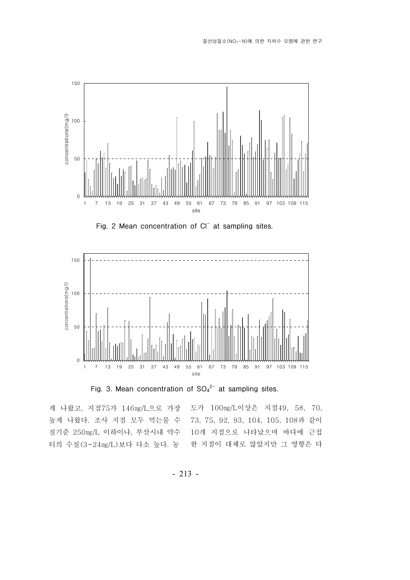

Fig. 2 Mean concentration of Cl<sup>-</sup> at sampling sites.



Fig. 3. Mean concentration of  $SO_4^2$  at sampling sites.

게 나왔고, 지점 75가 146 mg/L으로 가장 높게 나왔다. 조사 지점 모두 먹는물 수 질기준 250mg/L 이하이나, 부산시내 약수 터의 수질 (3~24 mg/L) 보다 다소 높다. 농

도가 100 mg/L이상은 지점 49, 58, 70, 73, 75, 92, 93, 104, 105, 108과 같이 10개 지점으로 나타났으며 바다에 근접 한 지점이 대체로 많았지만 그 영향은 다

- 213 -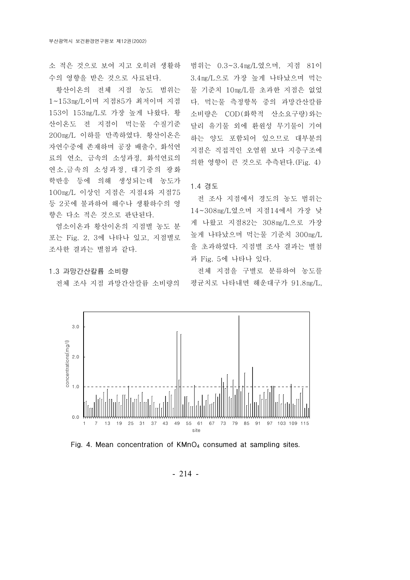소 적은 것으로 보여 지고 오히려 생활하 수의 영향을 받은 것으로 사료된다.

황산이온의 전체 지점 농도 범위는 1~153 mg/L이며 지점85가 최저이며 지점 153이 153mg/L로 가장 높게 나왔다. 황 산이온도 전 지점이 먹는물 수질기준 200 mg/L 이하를 만족하였다. 황산이온은 자연수중에 존재하며 공장 배출수, 화석연 료의 연소, 금속의 소성과정, 화석연료의 연소, 금속의 소성과정, 대기중의 광화 학반응 등에 의해 생성되는데 농도가 100mg/L 이상인 지점은 지점 4와 지점 75 등 2곳에 불과하여 해수나 생활하수의 영 향은 다소 적은 것으로 판단된다.

염소이온과 황산이온의 지점별 농도 분 포는 Fig. 2, 3에 나타나 있고, 지점별로 조사한 결과는 별첨과 같다.

#### 1.3 과망간산칼륨 소비량

전체 조사 지점 과망간산칼륨 소비량의

범위는 0.3~3.4mg/L였으며, 지점 81이 3.4mg/L으로 가장 높게 나타났으며 먹는 물 기준치 10mg/L를 초과한 지점은 없었 다. 먹는물 측정항목 중의 과망간산칼륨 소비량은 COD(화학적 산소요구량) 와는 달리 유기물 외에 환원성 무기물이 기여 하는 양도 포함되어 있으므로 대부분의 지점은 직접적인 오염원 보다 지층구조에 의한 영향이 큰 것으로 추측된다.(Fig. 4)

1.4 경도

전 조사 지점에서 경도의 농도 범위는 14~308 mg/L였으며 지점14에서 가장 낮 게 나왔고 지점 82는 308 mg/L으로 가장 높게 나타났으며 먹는물 기준치 300mg/L 을 초과하였다. 지점별 조사 결과는 별첨 과 Fig. 5에 나타나 있다.

전체 지점을 구별로 분류하여 농도를 평균치로 나타내면 해운대구가 91.8mg/L,



Fig. 4. Mean concentration of  $KMnO_4$  consumed at sampling sites.

- 214 -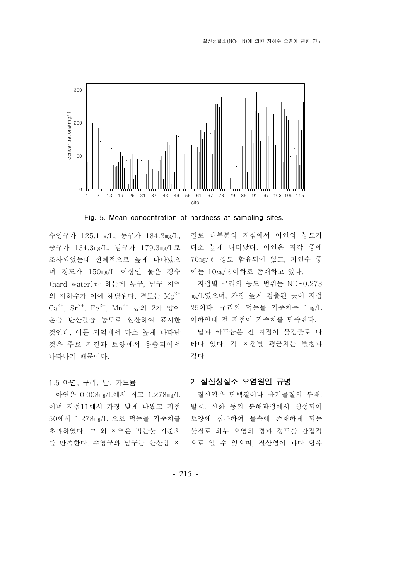

Fig. 5. Mean concentration of hardness at sampling sites.

수영구가 125.1 mg/L, 동구가 184.2 mg/L, 중구가 134.3 mg/L, 남구가 179.3 mg/L로 조사되었는데 전체적으로 높게 나타났으 며 경도가 150mg/L 이상인 물은 경수 (hard water) 라 하는데 동구, 남구 지역 의 지하수가 이에 해당된다. 경도는  $Mg^{2+}$  $Ca^{2+}$ ,  $Sr^{2+}$ ,  $Fe^{2+}$ ,  $Mn^{2+}$  등의 2가 양이 온을 탄산칼슘 농도로 환산하여 표시한 것인데, 이들 지역에서 다소 높게 나타난 것은 주로 지질과 토양에서 용출되어서 나타나기 때문이다.

#### 1.5 아연, 구리, 납, 카드뮴

아연은 0.008 mg/L에서 최고 1.278 mg/L 이며 지점11에서 가장 낮게 나왔고 지점 50에서 1.278 mg/L 으로 먹는물 기준치를 초과하였다. 그 외 지역은 먹는물 기준치 를 만족한다. 수영구와 남구는 안산암 지 질로 대부분의 지점에서 아연의 농도가 다소 높게 나타났다. 아연은 지각 중에 70mg/ l 정도 함유되어 있고, 자연수 중 에는  $10 \mu\text{g}/ \ell$  이하로 존재하고 있다.

지점별 구리의 농도 범위는 ND~0.273 mg/L였으며, 가장 높게 검출된 곳이 지점 25이다. 구리의 먹는물 기준치는 1mg/L 이하인데 전 지점이 기준치를 만족한다.

납과 카드뮴은 전 지점이 불검출로 나 타나 있다. 각 지점별 평균치는 별첨과 같다.

#### 2. 질산성질소 오염원인 규명

질산염은 단백질이나 유기물질의 부패, 발효, 산화 등의 분해과정에서 생성되어 토양에 침투하여 물속에 존재하게 되는 물질로 외부 오염의 경과 정도를 간접적 으로 알 수 있으며, 질산염이 과다 함유

- 215 -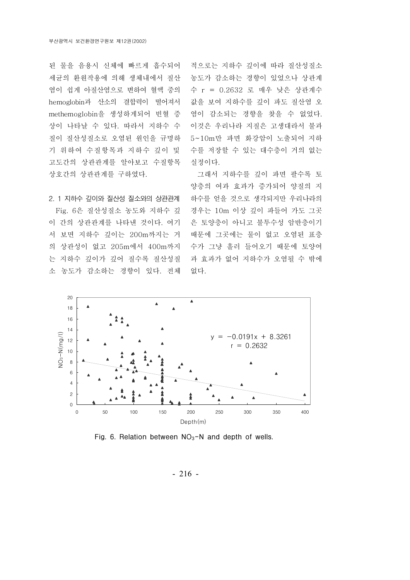된 물을 음용시 신체에 빠르게 흡수되어 세균의 환원작용에 의해 생체내에서 질산 염이 쉽게 아질산염으로 변하여 혈액 중의 hemoglobin과 산소의 결합력이 떨어져서 methemoglobin을 생성하게되어 빈혈 증 상이 나타날 수 있다. 따라서 지하수 수 질이 질산성질소로 오염된 원인을 규명하 기 위하여 수질항목과 지하수 깊이 및 고도간의 상관관계를 알아보고 수질항목 상호간의 상관관계를 구하였다.

2. 1 지하수 깊이와 질산성 질소와의 상관관계 Fig. 6은 질산성질소 농도와 지하수 깊 이 간의 상관관계를 나타낸 것이다. 여기 서 보면 지하수 깊이는 200m까지는 거 의 상관성이 없고 205m에서 400m까지 는 지하수 깊이가 깊어 질수록 질산성질 소 농도가 감소하는 경향이 있다. 전체

적으로는 지하수 깊이에 따라 질산성질소 농도가 감소하는 경향이 있었으나 상관계 수 r = 0.2632 로 매우 낮은 상관계수 값을 보여 지하수를 깊이 파도 질산염 오 염이 감소되는 경향을 찾을 수 없었다. 이것은 우리나라 지질은 고생대라서 불과 5~10m만 파면 화강암이 노출되어 지하 수를 저장할 수 있는 대수층이 거의 없는 실정이다.

그래서 지하수를 깊이 파면 팔수록 토 양층의 여과 효과가 증가되어 양질의 지 하수를 얻을 것으로 생각되지만 우리나라의 경우는 10m 이상 깊이 파들어 가도 그곳 은 토양층이 아니고 불투수성 암반층이기 때문에 그곳에는 물이 없고 오염된 표층 수가 그냥 흘러 들어오기 때문에 토양여 과 효과가 없어 지하수가 오염될 수 밖에 없다.



Fig. 6. Relation between  $NO<sub>3</sub> - N$  and depth of wells.

- 216 -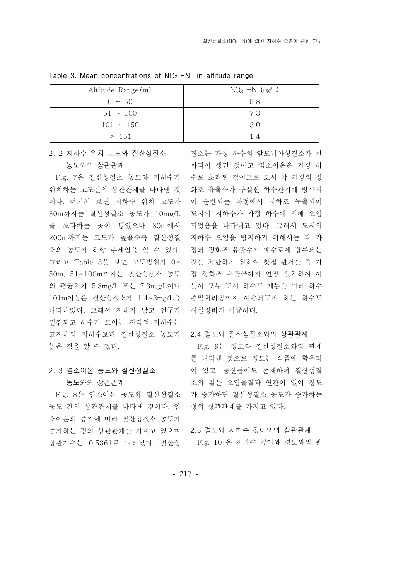| Altitude Range(m) | $NO3^- - N$ (mg/L) |
|-------------------|--------------------|
| $0 \sim 50$       | 5.8                |
| $51 \approx 100$  | 7.3                |
| $101 \sim 150$    | 3.0                |
| >151              | 14                 |

Table 3. Mean concentrations of  $NO<sub>3</sub><sup>-</sup> - N$  in altitude range

## 2. 2 지하수 위치 고도와 질산성질소 농도와의 상관관계

위치하는 고도간의 상관관계를 나타낸 것 화조 유출수가 부실한 하수관거에 방류되 이다. 여기서 보면 지하수 위치 고도가 어 운반되는 과정에서 지하로 누출되어 80m까지는 질산성질소 농도가 10mg/L 도시의 지하수가 가정 하수에 의해 오염 을 초과하는 곳이 많았으나 80m에서 되었음을 나타내고 있다. 그래서 도시의 200m까지는 고도가 높을수록 질산성질 지하수 오염을 방지하기 위해서는 각 가 소의 농도가 하향 추세임을 알 수 있다. 정의 정화조 유출수가 배수로에 방류되는 그리고 Table 3을 보면 고도범위가 0~ 것을 차단하기 위하여 찻집 관거를 각 가 50m, 51~100m까지는 질산성질소 농도 정 정화조 유출구까지 연장 설치하여 이 의 평균치가 5.8mg/L 또는 7.3mg/L이나 들이 모두 도시 하수도 계통을 따라 하수 101m이상은 질산성질소가 1.4~3mg/L을 종말처리장까지 이송되도록 하는 하수도 나타내었다. 그래서 지대가 낮고 인구가 시설정비가 시급하다. 밀집되고 하수가 모이는 지역의 지하수는 고지대의 지하수보다 질산성질소 농도가 2.4 경도와 질산성질소와의 상관관계 높은 것을 알 수 있다.

## 2. 3 염소이온 농도와 질산성질소 농도와의 상관관계

농도 간의 상관관계를 나타낸 것이다. 염 정의 상관관계를 가지고 있다. 소이온의 증가에 따라 질산성질소 농도가 증가하는 정의 상관관계를 가지고 있으며 2.5 경도와 지하수깊이와의 상관관계 상관계수는 0.5361로 나타났다. 질산성 Fig. 10 은 지하수 깊이와 경도와의 관

Fig. 7은 질산성질소 농도와 지하수가 수로 초래된 것이므로 도시 각 가정의 정 질소는 가정 하수의 암모니아성질소가 산 화되어 생긴 것이고 염소이온은 가정 하

Fig. 8은 염소이온 농도와 질산성질소 가 증가하면 질산성질소 농도가 증가하는 Fig. 9는 경도와 질산성질소와의 관계 를 나타낸 것으로 경도는 식품에 함유되 어 있고, 공산품에도 존재하여 질산성질 소와 같은 오염물질과 연관이 있어 경도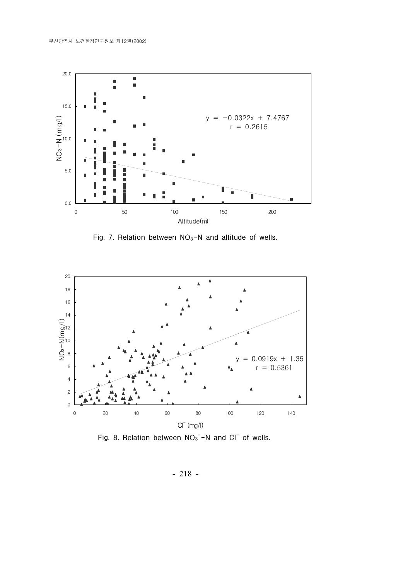

Fig. 7. Relation between  $NO<sub>3</sub>-N$  and altitude of wells.



Fig. 8. Relation between  $NO<sub>3</sub><sup>-</sup> - N$  and Cl<sup>-</sup> of wells.

- 218 -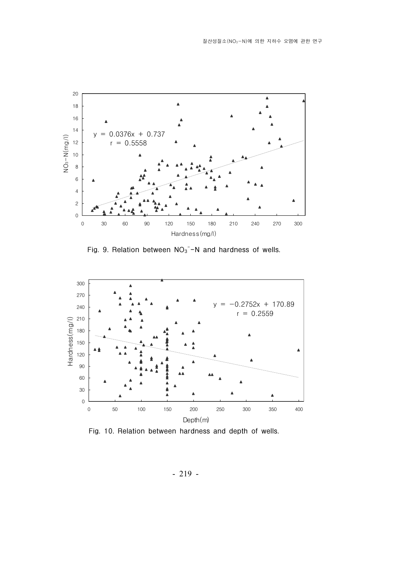

Fig. 9. Relation between  $NO_3^-$ -N and hardness of wells.





- 219 -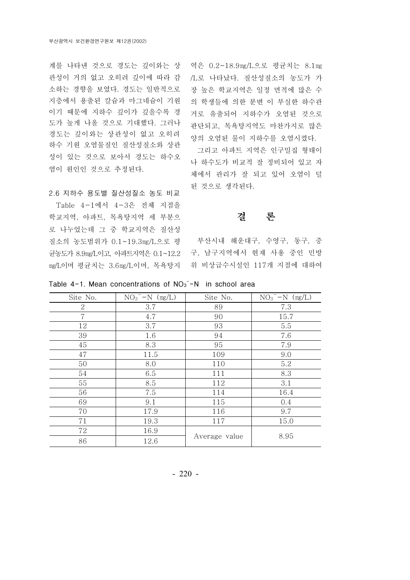계를 나타낸 것으로 경도는 깊이와는 상 역은 0.2~18.9mg/L으로 평균치는 8.1mg 소하는 경향을 보였다. 경도는 일반적으로 지층에서 용출된 칼슘과 마그네슘이 기원 이기 때문에 지하수 깊이가 깊을수록 경 도가 높게 나올 것으로 기대했다. 그러나 경도는 깊이와는 상관성이 없고 오히려 하수 기원 오염물질인 질산성질소와 상관 성이 있는 것으로 보아서 경도는 하수오 염이 원인인 것으로 추정된다.

2.6 지하수용도별 질산성질소 농도 비교

Table 4-1에서 4-3은 전체 지점을 학교지역, 아파트, 목욕탕지역 세 부분으 로 나누었는데 그 중 학교지역은 질산성 질소의 농도범위가 0.1~19.3mg/L으로 평 균농도가 8.9mg/L이고, 아파트지역은 0.1~12.2 구, 남구지역에서 현재 사용 중인 민방

관성이 거의 없고 오히려 깊이에 따라 감 /L로 나타났다. 질산성질소의 농도가 가 장 높은 학교지역은 일정 면적에 많은 수 의 학생들에 의한 분변 이 부실한 하수관 거로 유출되어 지하수가 오염된 것으로 판단되고, 목욕탕지역도 마찬가지로 많은 양의 오염된 물이 지하수를 오염시켰다.

> 그리고 아파트 지역은 인구밀집 형태이 나 하수도가 비교적 잘 정비되어 있고 자 체에서 관리가 잘 되고 있어 오염이 덜 된 것으로 생각된다.

## 결 론

mg/L이며 평균치는 3.6mg/L이며, 목욕탕지 \_ 위 비상급수시설인 117개 지점에 대하여 부산시내 해운대구, 수영구, 동구, 중

Table 4-1. Mean concentrations of  $NO<sub>3</sub><sup>-</sup>-N$  in school area

| Site No.       | $NO_3$ <sup>-</sup> $-N$ (mg/L) | Site No.      | $NO_3$ <sup>-</sup> $-N$ (mg/L) |  |
|----------------|---------------------------------|---------------|---------------------------------|--|
| $\overline{2}$ | 3.7                             | 89            | 7.3                             |  |
| 7              | 4.7                             | 90            | 15.7                            |  |
| 12             | 3.7                             | 93            | 5.5                             |  |
| 39             | 1.6                             | 94            | 7.6                             |  |
| 45             | 8.3                             | 95            | 7.9                             |  |
| 47             | 11.5                            | 109           | 9.0                             |  |
| 50             | 8.0                             | 110           | 5.2                             |  |
| 54             | 6.5                             | 111           | 8.3                             |  |
| 55             | 8.5                             | 112           | 3.1                             |  |
| 56             | 7.5                             | 114           | 16.4                            |  |
| 69             | 9.1                             | 115           | 0.4                             |  |
| 70             | 17.9                            | 116           | 9.7                             |  |
| 71             | 19.3                            | 117           | 15.0                            |  |
| 72             | 16.9                            |               |                                 |  |
| 86             | 12.6                            | Average value | 8.95                            |  |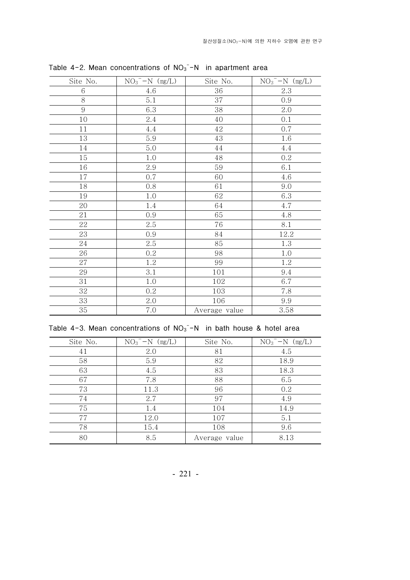| Site No. | $NO_3$ <sup>-</sup> $-N$ (mg/L) | Site No.      | $NO_3$ <sup>-</sup> $-N$ (mg/L) |
|----------|---------------------------------|---------------|---------------------------------|
| 6        | 4.6                             | 36            | 2.3                             |
| 8        | 5.1                             | 37            | 0.9                             |
| 9        | 6.3                             | 38            | 2.0                             |
| 10       | $2.4\,$                         | 40            | 0.1                             |
| 11       | 4.4                             | 42            | 0.7                             |
| 13       | 5.9                             | 43            | 1.6                             |
| 14       | $5.0\,$                         | 44            | 4.4                             |
| 15       | $1.0\,$                         | 48            | 0.2                             |
| 16       | 2.9                             | 59            | 6.1                             |
| 17       | 0.7                             | 60            | 4.6                             |
| 18       | 0.8                             | 61            | 9.0                             |
| 19       | $1.0\,$                         | 62            | 6.3                             |
| 20       | 1.4                             | 64            | 4.7                             |
| 21       | 0.9                             | 65            | 4.8                             |
| 22       | 2.5                             | 76            | 8.1                             |
| 23       | 0.9                             | 84            | 12.2                            |
| 24       | 2.5                             | 85            | 1.3                             |
| 26       | $0.2\,$                         | 98            | 1.0                             |
| 27       | 1.2                             | 99            | 1.2                             |
| 29       | 3.1                             | 101           | 9.4                             |
| 31       | $1.0\,$                         | 102           | 6.7                             |
| 32       | 0.2                             | 103           | 7.8                             |
| 33       | 2.0                             | 106           | 9.9                             |
| 35       | $7.0\,$                         | Average value | 3.58                            |

Table 4-2. Mean concentrations of  $NO<sub>3</sub><sup>-</sup> - N$  in apartment area

|  | Table 4-3. Mean concentrations of $NO_3$ <sup>-</sup> -N in bath house & hotel area |  |  |  |  |
|--|-------------------------------------------------------------------------------------|--|--|--|--|
|  |                                                                                     |  |  |  |  |

| Site No. | $NO_3$ <sup>-</sup> $-N$ (mg/L) | Site No.      | $NO_3$ <sup>-</sup> $-N$ (mg/L) |
|----------|---------------------------------|---------------|---------------------------------|
| 41       | 2.0                             | 81            | 4.5                             |
| 58       | 5.9                             | 82            | 18.9                            |
| 63       | 4.5                             | 83            | 18.3                            |
| 67       | 7.8                             | 88            | 6.5                             |
| 73       | 11.3                            | 96            | 0.2                             |
| 74       | 2.7                             | 97            | 4.9                             |
| 75       | 1.4                             | 104           | 14.9                            |
| 77       | 12.0                            | 107           | 5.1                             |
| 78       | 15.4                            | 108           | 9.6                             |
| 80       | 8.5                             | Average value | 8.13                            |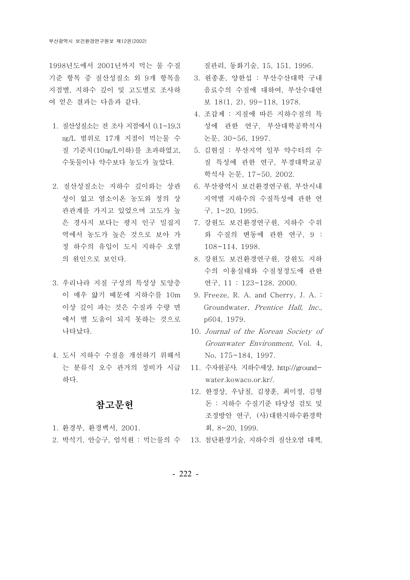1998년도에서 2001년까지 먹는 물 수질 질관리, 동화기술, 15, 151, 1996. 기준 항목 중 질산성질소 외 9개 항목을 3. 원종훈, 양한섭 : 부산수산대학 구내 지점별, 지하수 깊이 및 고도별로 조사하 여 얻은 결과는 다음과 같다.

- 1. 질산성질소는 전 조사 지점에서 0.1~19.3 mg/L 범위로 17개 지점이 먹는물 수 질 기준치 (10 mg/L 이하)를 초과하였고, 수돗물이나 약수보다 농도가 높았다.
- 2. 질산성질소는 지하수 깊이와는 상관 성이 없고 염소이온 농도와 정의 상 관관계를 가지고 있었으며 고도가 높 은 경사지 보다는 평지 인구 밀집지 역에서 농도가 높은 것으로 보아 가 정 하수의 유입이 도시 지하수 오염 의 원인으로 보인다.
- 3. 우리나라 지질 구성의 특성상 토양층 이 매우 얇기 때문에 지하수를 10m 9. Freeze, R. A. and Cherry, J. A. : 이상 깊이 파는 것은 수질과 수량 면 에서 별 도움이 되지 못하는 것으로 나타났다.
- 4. 도시 지하수 수질을 개선하기 위해서 는 분류식 오수 관거의 정비가 시급 하다.

## 참고문헌

- 1. 환경부, 환경백서, 2001.
- 2. 박석기, 안승구, 엄석원 : 먹는물의 수 13. 첨단환경기술, 지하수의 질산오염 대책,

- 음료수의 수질에 대하여, 부산수대연 보 18(1, 2), 99~118, 1978.
- 4. 조갑제 : 지질에 따른 지하수질의 특 성에 관한 연구, 부산대학공학석사 논문, 30~56, 1997.
- 5. 김현실 : 부산지역 일부 약수터의 수 질 특성에 관한 연구, 부경대학교공 학석사 논문, 17~50, 2002.
- 6. 부산광역시 보건환경연구원, 부산시내 지역별 지하수의 수질특성에 관한 연 구, 1~20, 1995.
- 7. 강원도 보건환경연구원, 지하수 수위 와 수질의 변동에 관한 연구, 9 : 108~114, 1998.
	- 8. 강원도 보건환경연구원, 강원도 지하 수의 이용실태와 수질청정도에 관한 연구, 11 : 123~128, 2000.
	- Groundwater, Prentice Hall, Inc., p604, 1979.
	- 10. Journal of the Korean Society of Grounwater Environment, Vol. 4, No, 175~184, 1997.
- 11. 수자원공사. 지하수세상, http://groundwater.kowaco.or.kr/.
	- 12. 한정상. 우남칠. 김창훈. 최미정. 김형 돈 : 지하수 수질기준 타당성 검토 및 조정방안 연구, (사) 대한지하수환경학 회, 8~20, 1999.
		-

- 222 -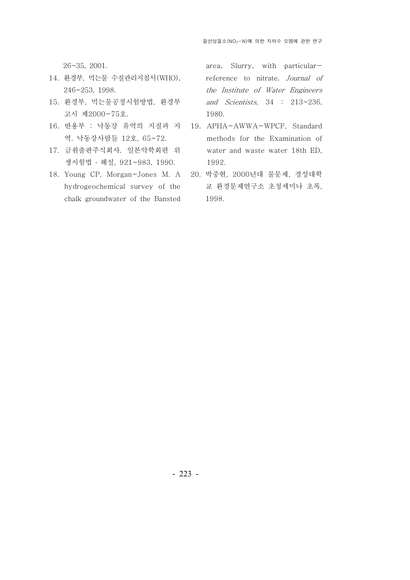26~35, 2001.

- 14. 환경부, 먹는물 수질관리지침서 (WHO), 246~253, 1998.
- 15. 환경부, 먹는물공정시험방법, 환경부 고시 제2000-75호.
- 16. 반용부 : 낙동강 유역의 지질과 지 역. 낙동강사람들 12호, 65~72.
- 17. 금원출판주식회사. 일본약학회편 위 생시험법 · 해설, 921~983, 1990.
- 18. Young CP, Morgan-Jones M. A hydrogeochemical survey of the chalk groundwater of the Bansted

area, Slurry, with particularreference to nitrate. Journal of the Institute of Water Engineers and Scientists, 34 : 213~236, 1980.

- 19. APHA-AWWA-WPCF, Standard methods for the Examination of water and waste water 18th ED, 1992.
- 20. 박중현, 2000년대 물문제, 경성대학 교 환경문제연구소 초청세미나 초록, 1998.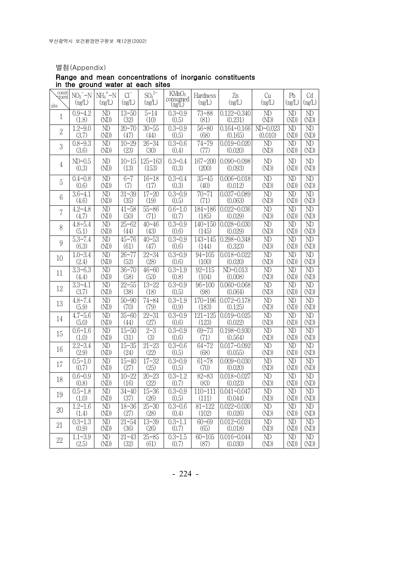## 별첨(Appendix)

Range and mean concentrations of inorganic constituents in the ground water at each sites

| consti<br>tuent<br>site | $NO3 - N$<br>(mg/L)   | $NH_4^+$ -N<br>(mg/L)    | CI <sup>-</sup><br>(mg/L) | SO <sub>4</sub> <sup>2</sup><br>(mg/L) | KMnO <sub>4</sub><br>consumed<br>(mg/L) | Hardness<br>(mg/L) | Zn<br>(mg/L)    | Cu<br>(mg/L)             | Pb<br>(mg/L)             | Cd<br>(mg/L)             |
|-------------------------|-----------------------|--------------------------|---------------------------|----------------------------------------|-----------------------------------------|--------------------|-----------------|--------------------------|--------------------------|--------------------------|
| $\mathbf{1}$            | $0.9 - 4.2$           | N <sub>D</sub>           | $13 - 50$                 | $5 - 14$                               | $0.3 - 0.9$                             | $73 - 88$          | $0.122 - 0.340$ | $\overline{ND}$          | N <sub>D</sub>           | N <sub>D</sub>           |
|                         | (1.8)                 | (ND)                     | (32)                      | (10)                                   | (0.5)                                   | (81)               | (0.231)         | (ND)                     | (ND)                     | (ND)                     |
| $\overline{2}$          | $1.2 - 9.0$           | $\overline{\mathrm{ND}}$ | $20 - 70$                 | $30 - 55$                              | $0.3 - 0.9$                             | $56 - 80$          | $0.164 - 0.166$ | $ND - 0.023$             | $\overline{ND}$          | $\overline{\rm ND}$      |
|                         | (3.7)                 | (ND)                     | (47)                      | (44)                                   | (0.5)                                   | (68)               | (0.165)         | (0.010)                  | (ND)                     | (ND)                     |
| 3                       | $0.8 - 9.3$           | $\overline{\mathrm{ND}}$ | $10 - 29$                 | $26 - 34$                              | $0.3 - 0.6$                             | $74 - 79$          | $0.019 - 0.020$ | $\overline{\mathrm{ND}}$ | ND                       | $\overline{\mathrm{ND}}$ |
|                         | (3.6)                 | (ND)                     | (23)                      | (30)                                   | (0.4)                                   | (77)               | (0.020)         | (ND)                     | (ND)                     | (ND)                     |
| 4                       | ND<0.5                | ND                       | $10 - 15$                 | $125 - 163$                            | $0.3 - 0.4$                             | 167~200            | $0.090 - 0.098$ | ND                       | ND                       | ND                       |
|                         | (0.3)                 | (ND)                     | (13)                      | (153)                                  | (0.3)                                   | (200)              | (0.093)         | (ND)                     | (ND)                     | (ND)                     |
| 5                       | $0.4 - 0.8$           | $\overline{\mathrm{ND}}$ | $6 - 7$                   | $16 - 18$                              | $0.3 - 0.4$                             | $35 - 45$          | $0.006 - 0.018$ | $\overline{\mathrm{ND}}$ | $\overline{\mathrm{ND}}$ | $\overline{\mathrm{ND}}$ |
|                         | (0.6)                 | (ND)                     | (7)                       | (17)                                   | (0.3)                                   | (40)               | (0.012)         | (ND)                     | (ND)                     | (ND)                     |
| 6                       | $3.6 - 4.1$           | $\overline{ND}$          | $31 - 39$                 | $17 - 20$                              | $0.3 - 0.9$                             | $70 - 71$          | $0.037 - 0.089$ | $\overline{ND}$          | ND                       | ND                       |
|                         | (4.6)                 | (ND)                     | (35)                      | (19)                                   | (0.5)                                   | (71)               | (0.063)         | (ND)                     | (MD)                     | (ND)                     |
| 7                       | $4.2 - 4.8$           | $\overline{ND}$          | $41 - 58$                 | $55 - 86$                              | $0.6 - 1.0$                             | $184 - 186$        | $0.022 - 0.036$ | $\overline{ND}$          | $\overline{ND}$          | $\overline{ND}$          |
|                         | (4.7)                 | (ND)                     | (50)                      | (71)                                   | (0.7)                                   | (185)              | (0.029)         | (ND)                     | (ND)                     | (ND)                     |
| 8                       | $4.8 - 5.4$           | $\overline{\rm ND}$      | $25 - 62$                 | $40 - 46$                              | $0.3 - 0.9$                             | $140 - 150$        | $0.028 - 0.030$ | $\overline{\mathbb{D}}$  | ND                       | ND                       |
|                         | (5.1)                 | (ND)                     | (44)                      | (43)                                   | (0.6)                                   | (145)              | (0.029)         | (ND)                     | (ND)                     | (ND)                     |
| 9                       | $5.3 - 7.4$           | $\overline{\mathrm{ND}}$ | $45 - 76$                 | $40 - 53$                              | $0.3 - 0.9$                             | $143 - 145$        | $0.298 - 0.348$ | $\overline{\mathrm{ND}}$ | $\overline{\mathrm{ND}}$ | $\overline{\mathrm{ND}}$ |
|                         | (6.3)                 | (ND)                     | (61)                      | (47)                                   | (0.6)                                   | (144)              | (0.323)         | (ND)                     | (ND)                     | (ND)                     |
| 10                      | $1.0 - 3.4$           | $\overline{ND}$          | $26 - 77$                 | $22 - 34$                              | $0.3 - 0.9$                             | $94 - 105$         | $0.018 - 0.022$ | $\overline{\mathrm{ND}}$ | $\overline{\mathrm{ND}}$ | $\overline{ND}$          |
|                         | (2.4)                 | (ND)                     | (52)                      | (28)                                   | (0.6)                                   | (100)              | (0.020)         | (ND)                     | (ND)                     | (ND)                     |
| 11                      | $3.3 - 6.3$           | $\overline{ND}$          | $36 - 70$                 | $46 - 60$                              | $0.3 - 1.9$                             | $92 - 115$         | $ND - 0.013$    | N <sub>D</sub>           | $\overline{ND}$          | ND                       |
|                         | (4.4)                 | (ND)                     | (58)                      | (53)                                   | (0.8)                                   | (104)              | (0.008)         | (ND)                     | (ND)                     | (ND)                     |
| 12                      | $3.3 - 4.1$           | ND                       | $22 - 55$                 | $13 - 22$                              | $0.3 - 0.9$                             | $96 - 100$         | $0.060 - 0.068$ | $\overline{\mathbb{D}}$  | ND                       | ND                       |
|                         | (3.7)                 | (ND)                     | (38)                      | (18)                                   | (0.5)                                   | (98)               | (0.064)         | (ND)                     | (ND)                     | (ND)                     |
| 13                      | $4.8 - 7.4$           | $\overline{\mathrm{ND}}$ | $50 - 90$                 | $74 - 84$                              | $0.3 - 1.9$                             | $170 - 196$        | $0.072 - 0.178$ | $\overline{\mathrm{ND}}$ | $\overline{\mathrm{ND}}$ | ND                       |
|                         | (5.9)                 | (ND)                     | (70)                      | (79)                                   | (0.9)                                   | (183)              | (0.125)         | (ND)                     | (ND)                     | (ND)                     |
| 14                      | $4.7 - 5.6$           | $\overline{\text{ND}}$   | $35 - 60$                 | $22 - 31$                              | $0.3 - 0.9$                             | $121 - 125$        | $0.019 - 0.025$ | $\overline{\text{ND}}$   | $\overline{\mathrm{ND}}$ | $\overline{\mathrm{ND}}$ |
|                         | (5.0)                 | (ND)                     | (44)                      | (27)                                   | (0.6)                                   | (123)              | (0.022)         | (ND)                     | (MD)                     | (ND)                     |
| 15                      | $0.6 - 1.6$           | $\overline{\rm ND}$      | $15 - 50$                 | $\overline{2-3}$                       | $0.3 - 0.9$                             | $69 - 73$          | $0.198 - 0.930$ | $\overline{ND}$          | ND                       | $\overline{ND}$          |
|                         | (1.0)                 | (ND)                     | (31)                      | (3)                                    | (0.6)                                   | (71)               | (0.564)         | (ND)                     | (ND)                     | (ND)                     |
| 16                      | $2.2 - 3.4$           | $\overline{ND}$          | $15 - 35$                 | $21 - 23$                              | $0.3 - 0.6$                             | $64 - 72$          | $0.017 - 0.092$ | $\overline{ND}$          | ND                       | $\overline{ND}$          |
|                         | (2.9)                 | (ND)                     | (24)                      | (22)                                   | (0.5)                                   | (68)               | (0.055)         | (ND)                     | (ND)                     | (ND)                     |
| 17                      | $\overline{0.5}$ ~1.0 | $\overline{ND}$          | $15 - 40$                 | $17 - 32$                              | $0.3 - 0.9$                             | $61 - 78$          | $0.009 - 0.030$ | $\overline{ND}$          | $\overline{ND}$          | $\overline{ND}$          |
|                         | (0.7)                 | (ND)                     | (27)                      | (25)                                   | (0.5)                                   | (70)               | (0.020)         | (ND)                     | (ND)                     | (ND)                     |
| 18                      | $0.6 - 0.9$           | $\overline{\mathrm{ND}}$ | $10 - 22$                 | $\overline{20 - 23}$                   | $0.3 - 1.2$                             | $82 - 83$          | $0.018 - 0.027$ | $\overline{\text{ND}}$   | $\overline{\mathrm{ND}}$ | $\overline{\mathrm{ND}}$ |
|                         | (0.8)                 | (ND)                     | (16)                      | (22)                                   | (0.7)                                   | (83)               | (0.023)         | (ND)                     | (ND)                     | (ND)                     |
| 19                      | $0.5 - 1.8$           | $\overline{\mathrm{ND}}$ | $34 - 40$                 | $15 - 36$                              | $0.3 - 0.9$                             | $110 - 111$        | $0.041 - 0.047$ | $\overline{\text{ND}}$   | $\overline{\mathrm{ND}}$ | $\overline{\mathrm{ND}}$ |
|                         | (1.0)                 | (ND)                     | (37)                      | (26)                                   | (0.5)                                   | (111)              | (0.044)         | (ND)                     | (ND)                     | (ND)                     |
| 20                      | $1.2 - 1.6$           | $\overline{\mathrm{ND}}$ | $18 - 36$                 | $25 - 30$                              | $0.3 - 0.6$                             | $81 - 122$         | $0.022 - 0.030$ | ND                       | ND                       | ND                       |
|                         | (1.4)                 | (ND)                     | (27)                      | (28)                                   | (0.4)                                   | (102)              | (0.026)         | (ND)                     | (ND)                     | (ND)                     |
| 21                      | $0.3 - 1.3$           | $\overline{ND}$          | $21 - 54$                 | $13 - 39$                              | $0.3 - 1.1$                             | $60 - 69$          | $0.012 - 0.024$ | $\overline{ND}$          | ND                       | $\overline{ND}$          |
|                         | (0.9)                 | (ND)                     | (36)                      | (26)                                   | (0.7)                                   | (65)               | (0.018)         | (ND)                     | (ND)                     | (ND)                     |
| 22                      | $1.1 - 3.9$           | $\overline{ND}$          | $\overline{21}$ ~43       | $25 - 85$                              | $0.3 - 1.5$                             | $60 - 105$         | $0.016 - 0.044$ | $\overline{\text{ND}}$   | $\overline{\mathrm{ND}}$ | $\overline{ND}$          |
|                         | (2.5)                 | (ND)                     | (32)                      | (61)                                   | (0.7)                                   | (87)               | (0.030)         | (ND)                     | (ND)                     | (ND)                     |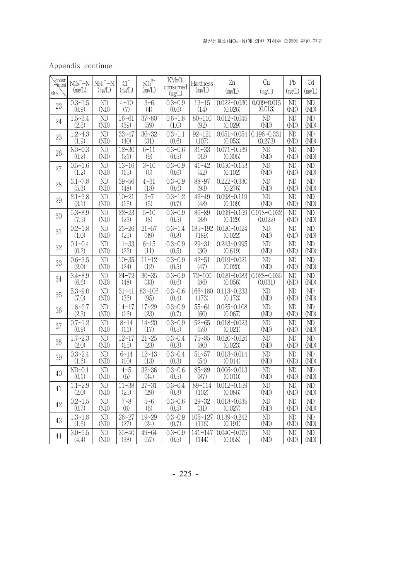| consti<br>-Xuent<br>site | $NO_3$ <sup>-</sup> $-N$<br>(mg/L) | $NH_4^+$ -N<br>(mg/L) | $Cl^{-}$<br>(mg/L) | $SO42-$<br>(mg/L) | KMnO <sub>4</sub><br>consumed<br>(mg/L) | Hardness<br>(mg/L) | Zn<br>(mg/L)    | Cu<br>(mg/L)    | P <sub>b</sub><br>(mg/L) | Cd<br>(mg/L) |
|--------------------------|------------------------------------|-----------------------|--------------------|-------------------|-----------------------------------------|--------------------|-----------------|-----------------|--------------------------|--------------|
| 23                       | $\overline{0.3}$ ~1.5              | ND                    | $4 - 10$           | $3 - 6$           | $\overline{0.3}$ ~0.9                   | $13 - 15$          | $0.022 - 0.030$ | $0.009 - 0.015$ | ND                       | ND           |
|                          | (0.9)                              | (ND)                  | (7)                | (4)               | (0.6)                                   | (14)               | (0.026)         | (0.013)         | (ND)                     | (ND)         |
| 24                       | $1.5 - 3.4$                        | ND                    | $16 - 61$          | $37 - 80$         | $0.6 - 1.8$                             | $80 - 110$         | $0.012 - 0.045$ | ND              | ND                       | ND           |
|                          | (2.5)                              | (ND)                  | (39)               | (59)              | (1.0)                                   | (92)               | (0.029)         | (ND)            | (ND)                     | (ND)         |
| 25                       | $1.2 - 4.3$                        | ND                    | $33 - 47$          | $30 - 32$         | $0.3 - 1.1$                             | $92 - 121$         | $0.051 - 0.054$ | $0.196 - 0.331$ | ND                       | ND           |
|                          | (1.9)                              | (ND)                  | (40)               | (31)              | (0.6)                                   | (107)              | (0.053)         | (0.273)         | (MD)                     | (ND)         |
| 26                       | ND<0.3                             | ND                    | $12 - 30$          | $6 - 11$          | $0.3 - 0.6$                             | $31 - 33$          | $0.071 - 0.539$ | ND              | ND                       | ND           |
|                          | (0.2)                              | (ND)                  | (21)               | (9)               | (0.5)                                   | (32)               | (0.305)         | (ND)            | (ND)                     | (ND)         |
| 27                       | $0.5 - 1.6$                        | ND                    | $13 - 16$          | $3 - 10$          | $0.3 - 0.9$                             | $41 - 42$          | $0.050 - 0.153$ | ND              | ND                       | ND           |
|                          | (1.2)                              | (ND)                  | (15)               | (6)               | (0.6)                                   | (42)               | (0.102)         | (ND)            | (ND)                     | (ND)         |
| 28                       | $3.1 - 7.8$                        | ND                    | $39 - 56$          | $4 - 31$          | $0.3 - 0.9$                             | 88~97              | $0.222 - 0.330$ | ND              | ND                       | ND           |
|                          | (5.3)                              | (ND)                  | (48)               | (18)              | (0.6)                                   | (93)               | (0.276)         | (MD)            | (ND)                     | (ND)         |
| 29                       | $2.1 - 3.8$                        | ND                    | $10 - 21$          | $3 - 7$           | $0.3 - 1.2$                             | $46 - 49$          | $0.098 - 0.119$ | ND              | ND                       | ND           |
|                          | (3.1)                              | (ND)                  | (16)               | (5)               | (0.7)                                   | (48)               | (0.109)         | (ND)            | (ND)                     | (ND)         |
| 30                       | $\overline{5.3}$ ~8.9              | ND                    | $22 - 23$          | $5 - 10$          | $0.3 - 0.9$                             | 86~89              | $0.099 - 0.159$ | $0.018 - 0.032$ | ND                       | ND           |
|                          | (7.5)                              | (ND)                  | (23)               | (8)               | (0.5)                                   | (88)               | (0.129)         | (0.022)         | (ND)                     | (ND)         |
| 31                       | $0.2 - 1.8$                        | ND                    | $23 - 26$          | $21 - 57$         | $\overline{0.3}$ ~1.4                   | 185~192            | $0.020 - 0.024$ | ND              | ND                       | ND           |
|                          | (1.0)                              | (ND)                  | (25)               | (39)              | (0.8)                                   | (189)              | (0.022)         | (ND)            | (ND)                     | (ND)         |
| 32                       | $0.1 - 0.4$                        | ND                    | $11 - 33$          | $6 - 15$          | $0.3 - 0.9$                             | $29 - 31$          | $0.243 - 0.995$ | ND              | ND                       | ND           |
|                          | (0.2)                              | (ND)                  | (22)               | (11)              | (0.5)                                   | (30)               | (0.619)         | (ND)            | (ND)                     | (ND)         |
| 33                       | $0.6 - 3.5$                        | ND                    | $10 - 35$          | $11 - 12$         | $0.3 - 0.9$                             | $42 - 51$          | $0.019 - 0.021$ | ND              | ND                       | ND           |
|                          | (2.0)                              | (ND)                  | (24)               | (12)              | (0.5)                                   | (47)               | (0.020)         | (ND)            | (ND)                     | (ND)         |
| 34                       | $3.4 - 8.9$                        | ND                    | $24 - 72$          | $30 - 35$         | $0.3 - 0.9$                             | $72 - 100$         | $0.029 - 0.083$ | $0.028 - 0.035$ | ND                       | ND           |
|                          | (6.6)                              | (ND)                  | (48)               | (33)              | (0.6)                                   | (86)               | (0.056)         | (0.031)         | (ND)                     | (ND)         |
| 35                       | $5.3 - 9.0$                        | ND                    | $31 - 41$          | $83 - 106$        | $0.3 - 0.6$                             | $166 - 180$        | $0.113 - 0.233$ | ND              | ND                       | ND           |
|                          | (7.0)                              | (ND)                  | (36)               | (95)              | (0.4)                                   | (173)              | (0.173)         | (ND)            | (ND)                     | (ND)         |
| 36                       | $1.8 - 2.7$                        | ND                    | $14 - 17$          | $17 - 29$         | $0.3 - 0.9$                             | $55 - 64$          | $0.025 - 0.108$ | ND              | ND                       | ND           |
|                          | (2.3)                              | (ND)                  | (16)               | (23)              | (0.7)                                   | (60)               | (0.067)         | (MD)            | (ND)                     | (ND)         |
| 37                       | $0.7 - 1.2$                        | ND                    | $8 - 14$           | $14 - 20$         | $0.3 - 0.9$                             | $52 - 65$          | $0.018 - 0.023$ | ND              | $\mathbf{N}$             | ND           |
|                          | (0.9)                              | (ND)                  | (11)               | (17)              | (0.5)                                   | (59)               | (0.021)         | (ND)            | (ND)                     | (ND)         |
| 38                       | $1.7 - 2.3$                        | ND                    | $12 - 17$          | $21 - 25$         | $0.3 - 0.4$                             | $75 - 85$          | $0.020 - 0.026$ | ND              | ND                       | ND           |
|                          | (2.0)                              | (ND)                  | (15)               | (23)              | (0.3)                                   | (80)               | (0.023)         | (ND)            | (ND)                     | (ND)         |
| 39                       | $0.3 - 2.4$                        | ND                    | $6 - 14$           | $12 - 13$         | $0.3 - 0.4$                             | $51 - 57$          | $0.013 - 0.014$ | ND              | ND                       | ND           |
|                          | (1.6)                              | (ND)                  | (10)               | (13)              | (0.3)                                   | (54)               | (0.014)         | (ND)            | (ND)                     | (ND)         |
| 40                       | ND<0.1                             | ND                    | $4 - 5$            | $32 - 36$         | $0.3 - 0.6$                             | 85~89              | $0.006 - 0.013$ | ND              | ND                       | ND           |
|                          | (0.1)                              | (ND)                  | (5)                | (34)              | (0.5)                                   | (87)               | (0.010)         | (MD)            | (ND)                     | (ND)         |
| 41                       | $1.1 - 2.9$                        | ND                    | $11 - 38$          | $27 - 31$         | $0.3 - 0.4$                             | 89~114             | $0.012 - 0.159$ | ND              | ND                       | ND           |
|                          | (2.0)                              | (ND)                  | (25)               | (29)              | (0.3)                                   | (102)              | (0.086)         | (ND)            | (ND)                     | (ND)         |
| 42                       | $0.2 - 1.5$                        | ND                    | $7 - 8$            | $5 - 6$           | $0.3 - 0.6$                             | $29 - 32$          | $0.018 - 0.035$ | ND              | ND                       | ND           |
|                          | (0.7)                              | (ND)                  | (8)                | (6)               | (0.5)                                   | (31)               | (0.027)         | (ND)            | (ND)                     | (ND)         |
| 43                       | $1.3 - 1.8$                        | $\rm ND$              | $26 - 27$          | $19 - 29$         | $0.3 - 0.9$                             | $105 - 127$        | $0.139 - 0.242$ | ND              | $\mathbf{N}$             | ND           |
|                          | (1.6)                              | $(\mathbb{N})$        | (27)               | (24)              | (0.7)                                   | (116)              | (0.191)         | $(\mathbb{N})$  | (ND)                     | (ND)         |
| 44                       | $3.0 - 5.5$                        | $\rm ND$              | $35 - 40$          | $49 - 64$         | $0.3 - 0.9$                             | $141 - 147$        | $0.040 - 0.075$ | ND              | $\mathbf{N}$             | ND           |
|                          | (4.4)                              | (ND)                  | (38)               | (57)              | (0.5)                                   | (144)              | (0.058)         | (ND)            | (ND)                     | (ND)         |

- 225 -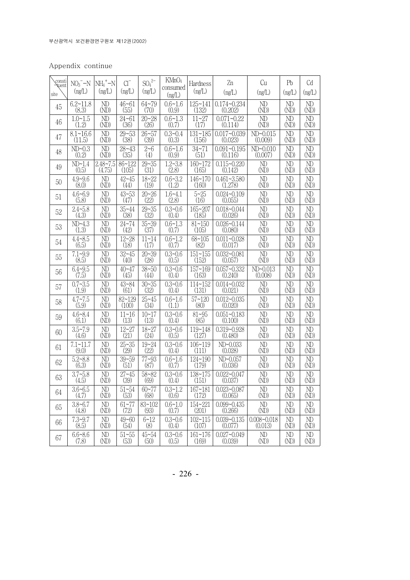| consti<br>*uent | $NO3 - N$       | NH4 <sup>+</sup> −N      | $Cl^{-}$   | $\mathrm{SO_4}^{2-}$ | KMnO <sub>4</sub><br>consumed | Hardness    | Zn              | Cu                       | Pb                       | Cd              |
|-----------------|-----------------|--------------------------|------------|----------------------|-------------------------------|-------------|-----------------|--------------------------|--------------------------|-----------------|
| site            | (mg/L)          | (mg/L)                   | (mg/L)     | (mg/L)               | (mg/L)                        | (mg/L)      | (mg/L)          | (mg/L)                   | (mg/L)                   | (mg/L)          |
| 45              | $6.2 \sim 11.8$ | $\mathbf{N}$             | $46 - 61$  | $64 - 79$            | $0.6 - 1.6$                   | $125 - 141$ | $0.174 - 0.234$ | ND                       | ND                       | ND              |
|                 | (8.3)           | $(\mathbb{N}\mathbb{D})$ | (55)       | (70)                 | (0.9)                         | (132)       | (0.202)         | (MD)                     | (MD)                     | (ND)            |
| 46              | $1.0 - 1.5$     | ND                       | $24 - 61$  | $20 - 28$            | $0.6 - 1.3$                   | $11 - 27$   | $0.071 - 0.22$  | ND                       | ND                       | ND              |
|                 | (1.2)           | (ND)                     | (36)       | (26)                 | (0.7)                         | (17)        | (0.114)         | $(\mathbb{N}\mathbb{D})$ | (MD)                     | (ND)            |
| 47              | $8.1 - 16.6$    | ND                       | $29 - 53$  | $26 - 57$            | $0.3 - 0.4$                   | $131 - 185$ | $0.017 - 0.039$ | ND~0.015                 | ND                       | ND              |
|                 | (11.5)          | (ND)                     | (38)       | (39)                 | (0.3)                         | (156)       | (0.023)         | (0.009)                  | $(\mathbb{N}\mathbb{D})$ | (ND)            |
| 48              | $ND-0.3$        | ND                       | $28 - 43$  | $2 - 6$              | $0.6 - 1.6$                   | $34 - 71$   | $0.091 - 0.195$ | $ND - 0.010$             | ND                       | ND              |
|                 | (0.2)           | $(\mathbb{N}\mathbb{D})$ | (35)       | (4)                  | (0.9)                         | (51)        | (0.116)         | (0.007)                  | (MD)                     | (ND)            |
| 49              | ND~1.4          | $2.48 - 7.5$             | 86~122     | $29 - 35$            | $1.2 - 3.8$                   | $160 - 172$ | $0.115 - 0.220$ | ND                       | MD                       | ND              |
|                 | (0.5)           | (4.75)                   | (105)      | (31)                 | (2.8)                         | (165)       | (0.142)         | (ND)                     | $(\mathbb{N}\mathbb{D})$ | (ND)            |
| 50              | $4.9 - 9.6$     | ND                       | $42 - 45$  | $18 - 22$            | $0.6 - 3.2$                   | 146~170     | $0.461 - 3.580$ | ND                       | ND                       | ND              |
|                 | (8.0)           | (ND)                     | (44)       | (19)                 | (1.2)                         | (160)       | (1.278)         | (ND)                     | $(\mathbb{N})$           | $(\mathbb{N}D)$ |
| 51              | $4.6 - 6.9$     | $\mathbf{N}$             | $43 - 53$  | $20 - 26$            | $1.6 - 4.1$                   | $5 - 25$    | $0.024 - 0.109$ | ND                       | ND                       | ND              |
|                 | (5.8)           | (MD)                     | (47)       | (22)                 | (2.8)                         | (16)        | (0.055)         | (MD)                     | (MD)                     | (MD)            |
| 52              | $2.4 - 5.8$     | ND                       | $35 - 44$  | $29 - 35$            | $0.3 - 0.6$                   | 165~207     | $0.018 - 0.044$ | ND                       | ND                       | ND              |
|                 | (4.3)           | (MD)                     | (38)       | (32)                 | (0.4)                         | (185)       | (0.026)         | (ND)                     | (MD)                     | (ND)            |
| 53              | $ND-4.3$        | ND                       | $24 - 74$  | $35 - 39$            | $0.6 - 1.3$                   | $81 - 150$  | $0.026 - 0.144$ | ND                       | ND                       | ND              |
|                 | (1.3)           | (ND)                     | (42)       | (37)                 | (0.7)                         | (105)       | (0.080)         | (ND)                     | $(\mathbb{N})$           | (ND)            |
| 54              | $4.4 - 8.5$     | ND                       | $12 - 28$  | $11 - 14$            | $0.6 - 1.2$                   | $68 - 105$  | $0.011 - 0.028$ | ND                       | ND                       | ND              |
|                 | (6.5)           | (MD)                     | (18)       | (17)                 | (0.7)                         | (82)        | (0.017)         | (MD)                     | (MD)                     | (MD)            |
| 55              | $7.1 - 9.9$     | $\mathbf{N}$             | $32 - 45$  | $20 - 39$            | $0.3 - 0.6$                   | $151 - 155$ | $0.032 - 0.081$ | ND                       | ND                       | ND              |
|                 | (8.5)           | (MD)                     | (40)       | (28)                 | (0.5)                         | (152)       | (0.057)         | (MD)                     | $(\mathbb{N})$           | (MD)            |
| 56              | $6.4 - 9.5$     | $\mathbf{N}$             | $40 - 47$  | $38 - 50$            | $0.3 - 0.6$                   | $157 - 169$ | $0.057 - 0.332$ | $ND - 0.013$             | ND                       | ND              |
|                 | (7.5)           | (ND)                     | (45)       | (44)                 | (0.4)                         | (163)       | (0.240)         | (0.008)                  | (MD)                     | (ND)            |
| 57              | $0.7 - 3.5$     | ND                       | $43 - 84$  | $30 - 35$            | $0.3 - 0.6$                   | $114 - 152$ | $0.014 - 0.032$ | ND                       | ND                       | ND              |
|                 | (1.9)           | (ND)                     | (61)       | (32)                 | (0.4)                         | (131)       | (0.021)         | (MD)                     | (MD)                     | (MD)            |
| 58              | $4.7 - 7.5$     | ND                       | $82 - 129$ | $25 - 45$            | $0.6 - 1.6$                   | $57 - 120$  | $0.012 - 0.035$ | ND                       | ND                       | ND              |
|                 | (5.9)           | (ND)                     | (100)      | (34)                 | (1.1)                         | (80)        | (0.020)         | (MD)                     | $(\mathbb{N})$           | (MD)            |
| 59              | $4.6 - 8.4$     | $\mathbf{N}$             | $11 - 16$  | $10 - 17$            | $0.3 - 0.6$                   | $81 - 95$   | $0.051 - 0.183$ | $\mathbf{N}$             | ND                       | ND              |
|                 | (6.1)           | (ND)                     | (13)       | (13)                 | (0.4)                         | (85)        | (0.100)         | (MD)                     | (MD)                     | (MD)            |
| 60              | $3.5 - 7.9$     | $\mathbf{N}$             | $12 - 27$  | $18 - 27$            | $0.3 - 0.6$                   | $119 - 148$ | $0.319 - 0.928$ | $\mathbf{N}$             | MD                       | ND              |
|                 | (4.6)           | (MD)                     | (21)       | (24)                 | (0.5)                         | (127)       | (0.480)         | (MD)                     | (MD)                     | (ND)            |
| 61              | $7.1 - 11.7$    | ND                       | $25 - 35$  | $19 - 24$            | $0.3 - 0.6$                   | $106 - 119$ | ND~0.033        | ND                       | ND                       | ND              |
|                 | (9.0)           | (MD)                     | (29)       | (22)                 | (0.4)                         | (111)       | (0.028)         | (ND)                     | (MD)                     | (ND)            |
| 62              | $5.2 - 8.8$     | ND                       | $39 - 59$  | $77 - 93$            | $0.6 - 1.6$                   | $124 - 190$ | ND~0.057        | ND                       | ND                       | ND              |
|                 | (6.3)           | (MD)                     | (51)       | (87)                 | (0.7)                         | (179)       | (0.036)         | (MD)                     | (MD)                     | (MD)            |
| 63              | $3.7 - 5.8$     | ND                       | $27 - 45$  | $58 - 82$            | $0.3 - 0.6$                   | $138 - 175$ | $0.022 - 0.047$ | ND                       | ND                       | ND              |
|                 | (4.5)           | (MD)                     | (39)       | (69)                 | (0.4)                         | (151)       | (0.037)         | (MD)                     | (ND)                     | (MD)            |
| 64              | $3.6 - 6.5$     | ND                       | $51 - 54$  | $60 - 77$            | $0.3 - 1.2$                   | $167 - 181$ | $0.023 - 0.087$ | $N\!D$                   | ND                       | $\mathbf{N}$    |
|                 | (4.7)           | (MD)                     | (53)       | (68)                 | (0.6)                         | (172)       | (0.065)         | (MD)                     | $(\mathbb{N})$           | (MD)            |
| 65              | $3.8 - 6.7$     | ND                       | $61 - 77$  | $83 - 102$           | $0.6 - 1.0$                   | 154~221     | $0.099 - 0.435$ | ND                       | ND                       | ND              |
|                 | (4.8)           | $(\mathbb{N})$           | (72)       | (93)                 | (0.7)                         | (201)       | (0.266)         | (MD)                     | $(\mathbb{N})$           | (MD)            |
| 66              | $7.3 - 9.7$     | ND                       | $49 - 60$  | $6 - 12$             | $0.3 - 0.6$                   | $102 - 115$ | $0.039 - 0.135$ | $0.008 - 0.018$          | ND                       | ND              |
|                 | (8.5)           | (MD)                     | (54)       | (8)                  | (0.4)                         | (107)       | (0.077)         | (0.013)                  | (MD)                     | (ND)            |
| 67              | $6.6 - 8.6$     | ND                       | $51 - 55$  | $45 - 54$            | $0.3 - 0.6$                   | $161 - 176$ | $0.027 - 0.049$ | $N\!D$                   | ND                       | $N\!D$          |
|                 | (7.8)           | (MD)                     | (53)       | (50)                 | (0.5)                         | (169)       | (0.039)         | (ND)                     | $(\mathbb{N})$           | (MD)            |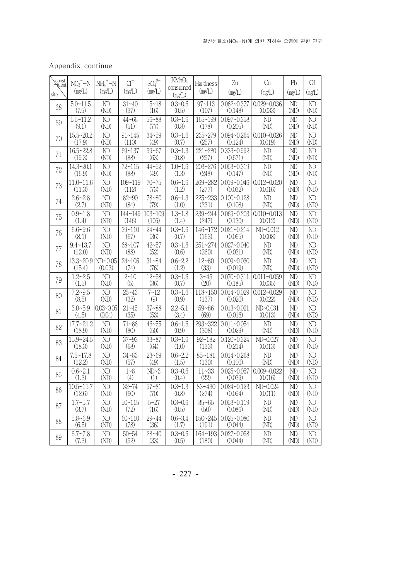| consti<br>*tuent<br>site | $NO3 - N$<br>(mg/L)                | $NH_4^+$ -N<br>(mg/L) | $Cl^{-}$<br>(mg/L) | $\mathrm{SO_4}^{2-}$<br>(mg/L) | KMnO <sub>4</sub><br>consumed<br>(mg/L) | Hardness<br>(mg/L) | Zn<br>(mg/L)               | Cu<br>(mg/L)    | Pb<br>(mg/L)                   | C <sub>d</sub><br>(mg/L) |
|--------------------------|------------------------------------|-----------------------|--------------------|--------------------------------|-----------------------------------------|--------------------|----------------------------|-----------------|--------------------------------|--------------------------|
| 68                       | $5.0 \times 11.5$                  | $\mathbf{M}$          | $31 - 40$          | $15 - 18$                      | $0.3 - 0.6$                             | $97 - 113$         | $0.062 - 0.377$            | $0.029 - 0.036$ | ND                             | ND                       |
|                          | (7.5)                              | (MD)                  | (37)               | (16)                           | (0.5)                                   | (107)              | (0.148)                    | (0.033)         | (MD)                           | (ND)                     |
| 69                       | $5.5 - 11.2$                       | ND                    | $44 - 66$          | $56 - 88$                      | $0.3 - 1.6$                             | 165~199            | $0.097 - 0.358$            | ND              | ND                             | ND                       |
|                          | (9.1)                              | (MD)                  | (51)               | (77)                           | (0.8)                                   | (178)              | (0.205)                    | (MD)            | (ND)                           | (ND)                     |
| 70                       | 15.5~20.2                          | ND                    | $91 - 145$         | $34 - 59$                      | $0.3 - 1.6$                             | 235~279            | $0.094 - 0.264$            | $0.010 - 0.026$ | ND                             | ND                       |
|                          | (17.9)                             | (MD)                  | (110)              | (49)                           | (0.7)                                   | (257)              | (0.124)                    | (0.019)         | (MD)                           | (ND)                     |
| 71                       | $16.5 - 22.8$                      | ND                    | 69~137             | $59 - 67$                      | $\overline{0.3}$ ~1.3                   | 221~280            | $0.333 - 0.992$            | ND              | ND                             | ND                       |
|                          | (19.3)                             | (ND)                  | (88)               | (63)                           | (0.8)                                   | (257)              | (0.571)                    | (MD)            | (ND)                           | (ND)                     |
| 72                       | $14.3 - 20.1$                      | ND                    | $72 - 115$         | $44 - 52$                      | $1.0 - 1.6$                             | 203~276            | $0.053 - 0.319$            | ND              | ND                             | ND                       |
|                          | (16.9)                             | (MD)                  | (88)               | (49)                           | (1.3)                                   | (248)              | (0.147)                    | (ND)            | (MD)                           | (ND)                     |
| 73                       | $11.0 \times 11.6$                 | ND                    | $109 - 119$        | $70 - 75$                      | $0.6 - 1.6$                             | 269~282            | $0.019 - 0.046$            | $0.012 - 0.020$ | ND                             | ND                       |
|                          | (11.3)                             | (ND)                  | (112)              | (73)                           | (1.2)                                   | (277)              | (0.032)                    | (0.016)         | $(\mathbb{N}\mathbb{D})$       | (ND)                     |
| 74                       | $2.6 - 2.8$                        | ND                    | $82 - 90$          | 78~80                          | $0.6 - 1.3$                             | 225~233            | $0.100 - 0.128$            | ND              | ND                             | ND                       |
|                          | (2.7)                              | (ND)                  | (84)               | (79)                           | (1.0)                                   | (231)              | (0.108)                    | (MD)            | (MD)                           | (ND)                     |
| 75                       | $0.9 - 1.8$                        | ND                    | 144~149            | $103 - 109$                    | $1.3 - 1.8$                             | 239~244            | $0.069 - 0.203$            | $0.010 - 0.013$ | ND                             | ND                       |
|                          | (1.4)                              | (ND)                  | (146)              | (105)                          | (1.4)                                   | (247)              | (0.130)                    | (0.012)         | (MD)                           | (ND)                     |
| 76                       | $6.6 - 9.6$                        | ND                    | $39 - 110$         | $24 - 44$                      | $0.3 - 1.6$                             | 146~172            | $0.021 - 0.214$            | ND~0.012        | ND                             | ND                       |
|                          | (8.1)                              | (ND)                  | (67)               | (36)                           | (0.7)                                   | (163)              | (0.065)                    | (0.008)         | $(\mathbb{N}\mathbb{D})$       | (ND)                     |
| 77                       | $9.4 - 13.7$                       | ND                    | $68 - 107$         | $42 - 57$                      | $0.3 - 1.6$                             | 251~274            | $0.027 - 0.040$            | ND              | ND                             | ND                       |
|                          | (12.0)                             | (MD)                  | (88)               | (52)                           | (0.6)                                   | (260)              | (0.031)                    | (ND)            | (MD)                           | (ND)                     |
| 78                       | $13.3 - 20.9$ ND $-0.05$<br>(15.4) | (0.03)                | $24 - 106$<br>(74) | $31 - 84$<br>(76)              | $0.6 - 2.2$<br>(1.2)                    | $12 - 80$<br>(33)  | $0.009 - 0.030$<br>(0.019) | ND<br>(ND)      | ND<br>$(\mathbb{N}\mathbb{D})$ | ND<br>(ND)               |
| 79                       | $1.2 - 2.5$                        | ND                    | $2 - 10$           | $12 - 58$                      | $0.3 - 1.6$                             | $3 - 45$           | $0.070 - 0.311$            | $0.011 - 0.059$ | ND                             | ND                       |
|                          | (1.5)                              | (ND)                  | (5)                | (36)                           | (0.7)                                   | (20)               | (0.185)                    | (0.035)         | (ND)                           | (ND)                     |
| 80                       | $7.2 - 9.5$                        | ND                    | $25 - 43$          | $7 - 12$                       | $0.3 - 1.6$                             | $118 - 150$        | $0.014 - 0.029$            | $0.012 - 0.029$ | ND                             | ND                       |
|                          | (8.5)                              | (ND)                  | (32)               | (9)                            | (0.9)                                   | (137)              | (0.020)                    | (0.022)         | (MD)                           | (ND)                     |
| 81                       | $3.0 - 5.9$                        | $0.03 - 0.05$         | $21 - 45$          | $37 - 88$                      | $2.2 - 5.1$                             | $59 - 86$          | $0.013 - 0.021$            | ND~0.031        | ND                             | ND                       |
|                          | (4.5)                              | (0.04)                | (35)               | (53)                           | (3.4)                                   | (69)               | (0.016)                    | (0.013)         | $(\mathbb{N}\mathbb{D})$       | (ND)                     |
| 82                       | $17.7 - 21.2$                      | ND                    | $71 - 86$          | $46 - 55$                      | $0.6 - 1.6$                             | 293~322            | $0.011 - 0.054$            | ND              | ND                             | ND                       |
|                          | (18.9)                             | (ND)                  | (80)               | (50)                           | (0.9)                                   | (308)              | (0.029)                    | (MD)            | (MD)                           | (MD)                     |
| 83                       | $15.9 - 24.5$                      | ND                    | $37 - 93$          | $33 - 87$                      | $0.3 - 1.6$                             | $92 - 182$         | $0.120 - 0.324$            | ND~0.027        | ND                             | ND                       |
|                          | (18.3)                             | (ND)                  | (68)               | (64)                           | (1.0)                                   | (133)              | (0.214)                    | (0.013)         | (MD)                           | (ND)                     |
| 84                       | $7.5 - 17.8$                       | ND                    | $34 - 83$          | $23 - 69$                      | $0.6 - 2.2$                             | $85 - 181$         | $0.014 - 0.268$            | ND              | ND                             | ND                       |
|                          | (12.2)                             | (ND)                  | (57)               | (49)                           | (1.5)                                   | (130)              | (0.100)                    | (MD)            | $(\mathbb{N}\mathbb{D})$       | (ND)                     |
| 85                       | $0.6 - 2.1$                        | ND                    | $1 - 8$            | $ND-3$                         | $0.3 - 0.6$                             | $11 - 33$          | $0.025 - 0.057$            | $0.009 - 0.022$ | ND                             | ND                       |
|                          | (1.3)                              | (ND)                  | (4)                | (1)                            | (0.4)                                   | (22)               | (0.039)                    | (0.016)         | (MD)                           | (ND)                     |
| 86                       | $10.5 - 15.7$                      | ND                    | $32 - 74$          | $57 - 81$                      | $0.3 - 1.3$                             | $83 - 430$         | $0.024 - 0.123$            | $ND - 0.024$    | ND                             | ND                       |
|                          | (12.6)                             | (MD)                  | (60)               | (70)                           | (0.8)                                   | (274)              | (0.094)                    | (0.011)         | $(\mathbb{N}\mathbb{D})$       | (ND)                     |
| 87                       | $1.7 - 5.7$                        | ND                    | $50 - 115$         | $5 - 27$                       | $0.3 - 0.6$                             | $35 - 65$          | $0.053 - 0.119$            | ND              | ND                             | ND                       |
|                          | (3.7)                              | (ND)                  | (72)               | (16)                           | (0.5)                                   | (50)               | (0.086)                    | (ND)            | $(\mathbb{N}D)$                | (ND)                     |
| 88                       | $5.8 - 6.9$                        | ND                    | $60 - 110$         | $29 - 44$                      | $0.6 - 3.4$                             | $150 - 245$        | $0.025 - 0.080$            | ND              | ND                             | ND                       |
|                          | (6.5)                              | (ND)                  | (78)               | (36)                           | (1.7)                                   | (191)              | (0.044)                    | (ND)            | (MD)                           | (ND)                     |
| 89                       | $6.7 - 7.8$                        | ND                    | $50 - 54$          | $28 - 40$                      | $0.3 - 0.6$                             | 164~193            | $0.027 - 0.058$            | ND              | ND                             | ND                       |
|                          | (7.3)                              | (ND)                  | (52)               | (33)                           | (0.5)                                   | (180)              | (0.044)                    | (MD)            | $(\mathbb{N}D)$                | $(\mathbb{N})$           |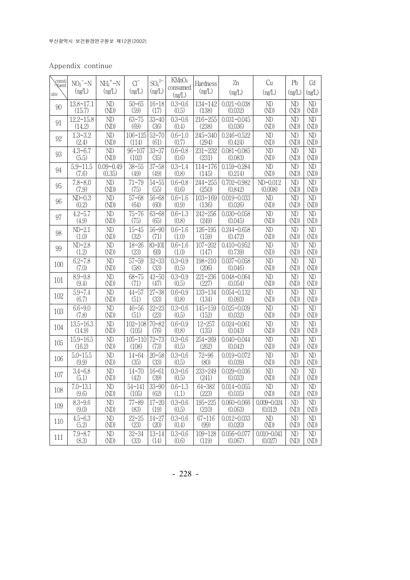| consti<br>*went<br>site | $NO_3$ <sup>-</sup> $-N$<br>(mg/L) | $NH_4^+$ -N<br>(mg/L) | $Cl^{-}$<br>(mg/L) | $SO_4^2$ <sup>-</sup><br>(mg/L) | KMnO <sub>4</sub><br>consumed<br>(mg/L) | Hardness<br>(mg/L) | Zn<br>(mg/L)    | Cu<br>(mg/L)    | Pb<br>(mg/L) | Cd<br>(mg/L)   |
|-------------------------|------------------------------------|-----------------------|--------------------|---------------------------------|-----------------------------------------|--------------------|-----------------|-----------------|--------------|----------------|
| 90                      | $13.8 - 17.1$                      | ND                    | $50 - 65$          | $16 - 18$                       | $0.3 - 0.6$                             | 134~142            | $0.021 - 0.038$ | $N\!D$          | ND           | ND             |
|                         | (15.7)                             | (ND)                  | (59)               | (17)                            | (0.5)                                   | (138)              | (0.032)         | (MD)            | (ND)         | (ND)           |
| 91                      | $12.2 - 15.8$                      | ND                    | $63 - 75$          | $33 - 40$                       | $0.3 - 0.6$                             | 216~255            | $0.031 - 0.045$ | ND              | ND           | ND             |
|                         | (14.2)                             | (ND)                  | (69)               | (36)                            | (0.4)                                   | (238)              | (0.036)         | (MD)            | (ND)         | (ND)           |
| 92                      | $1.3 - 3.2$                        | ND                    | $106 - 125$        | $52 - 70$                       | $0.6 - 1.0$                             | 245~340            | $0.246 - 0.522$ | ND              | ND           | ND             |
|                         | (2.4)                              | (MD)                  | (114)              | (61)                            | (0.7)                                   | (294)              | (0.424)         | (MD)            | (ND)         | (ND)           |
| 93                      | $4.3 - 6.7$                        | ND                    | $96 - 107$         | $33 - 37$                       | $0.6 - 0.8$                             | $231 - 232$        | $0.081 - 0.085$ | ND              | ND           | ND             |
|                         | (5.5)                              | (ND)                  | (102)              | (35)                            | (0.6)                                   | (231)              | (0.083)         | (ND)            | (ND)         | (ND)           |
| 94                      | $5.9 - 11.5$                       | $0.09 - 0.49$         | $38 - 55$          | $37 - 58$                       | $\overline{0.3}$ ~1.4                   | $114 - 176$        | $0.159 - 0.284$ | ND              | ND           | ND             |
|                         | (7.6)                              | (0.35)                | (49)               | (49)                            | (0.8)                                   | (145)              | (0.214)         | (MD)            | (ND)         | (ND)           |
| 95                      | $7.8 - 8.0$                        | ND                    | $71 - 79$          | $54 - 55$                       | $0.6 - 0.8$                             | 244~255            | $0.702 - 0.982$ | ND~0.012        | ND           | ND             |
|                         | (7.9)                              | (ND)                  | (75)               | (55)                            | (0.6)                                   | (250)              | (0.842)         | (0.008)         | (ND)         | (ND)           |
| 96                      | ND<0.3                             | ND                    | $57 - 68$          | $56 - 68$                       | $0.6 - 1.6$                             | $103 - 169$        | $0.019 - 0.033$ | $N\!D$          | ND           | ND             |
|                         | (0.2)                              | $(\mathbb{N})$        | (64)               | (60)                            | (0.9)                                   | (136)              | (0.026)         | (MD)            | (ND)         | (ND)           |
| 97                      | $4.2 - 5.7$                        | ND                    | $75 - 76$          | $63 - 68$                       | $0.6 - 1.3$                             | 242~256            | $0.030 - 0.058$ | $N\!D$          | ND           | ND             |
|                         | (4.9)                              | (MD)                  | (75)               | (65)                            | (0.8)                                   | (249)              | (0.045)         | (MD)            | (ND)         | (ND)           |
| 98                      | $ND-2.1$                           | ND                    | $15 - 45$          | $56 - 90$                       | $0.6 - 1.6$                             | $126 - 195$        | $0.244 - 0.658$ | ND              | ND           | ND             |
|                         | (1.0)                              | (MD)                  | (32)               | (71)                            | (1.0)                                   | (159)              | (0.472)         | (MD)            | (ND)         | (MD)           |
| 99                      | $ND-2.8$                           | ND                    | $18 - 26$          | $83 - 101$                      | $0.6 - 1.6$                             | $107 - 202$        | $0.410 - 0.952$ | ND              | ND           | ND             |
|                         | (1.2)                              | (MD)                  | (23)               | (93)                            | (1.0)                                   | (147)              | (0.739)         | (MD)            | (ND)         | (MD)           |
| 100                     | $6.2 - 7.8$                        | ND                    | $57 - 59$          | $32 - 33$                       | $0.3 - 0.9$                             | 198~210            | $0.037 - 0.058$ | ND              | ND           | ND             |
|                         | (7.0)                              | (ND)                  | (58)               | (33)                            | (0.5)                                   | (206)              | (0.046)         | (ND)            | (ND)         | (MD)           |
| 101                     | $8.9 - 9.8$                        | ND                    | $68 - 75$          | $42 - 50$                       | $0.3 - 0.9$                             | 221~236            | $0.048 - 0.064$ | ND              | ND           | ND             |
|                         | (9.4)                              | (ND)                  | (71)               | (47)                            | (0.5)                                   | (227)              | (0.054)         | (MD)            | (ND)         | (MD)           |
| 102                     | $5.9 - 7.4$                        | ND                    | $44 - 57$          | $27 - 38$                       | $0.6 - 0.9$                             | 133~134            | $0.054 - 0.132$ | ND              | ND           | ND             |
|                         | (6.7)                              | (ND)                  | (51)               | (33)                            | (0.8)                                   | (134)              | (0.093)         | (MD)            | (ND)         | (MD)           |
| 103                     | $6.6 - 9.0$                        | ND                    | $46 - 56$          | $22 - 23$                       | $0.3 - 0.6$                             | $145 - 159$        | $0.025 - 0.039$ | ND              | ND           | ND             |
|                         | (7.8)                              | (MD)                  | (51)               | (23)                            | (0.5)                                   | (152)              | (0.032)         | (MD)            | (ND)         | (MD)           |
| 104                     | $13.5 - 16.3$                      | ND                    | $102 - 108$        | $70 - 82$                       | $0.6 - 0.9$                             | $12 - 257$         | $0.024 - 0.061$ | ND              | ND           | ND             |
|                         | (14.9)                             | (MD)                  | (105)              | (76)                            | (0.8)                                   | (135)              | (0.043)         | (MD)            | (ND)         | (MD)           |
| 105                     | $15.9 - 16.5$                      | ND                    | $105 - 110$        | $72 - 73$                       | $0.3 - 0.6$                             | 254~269            | $0.040 - 0.044$ | ND              | ND           | ND             |
|                         | (16.2)                             | (ND)                  | (108)              | (73)                            | (0.5)                                   | (262)              | (0.042)         | (MD)            | (ND)         | (ND)           |
| 106                     | $5.0 - 15.5$                       | ND                    | $14 - 64$          | $20 - 58$                       | $0.3 - 0.6$                             | $72 - 96$          | $0.019 - 0.072$ | ND              | ND           | ND             |
|                         | (9.9)                              | (MD)                  | (35)               | (33)                            | (0.5)                                   | (80)               | (0.039)         | (MD)            | (MD)         | (MD)           |
| 107                     | $3.4 - 6.8$                        | ND                    | $14 - 70$          | $16 - 61$                       | $0.3 - 0.6$                             | 233~249            | $0.029 - 0.036$ | ND              | ND           | $N\!D$         |
|                         | (5.1)                              | (ND)                  | (42)               | (39)                            | (0.5)                                   | (241)              | (0.033)         | (MD)            | (ND)         | (MD)           |
| 108                     | $7.0 - 13.1$                       | ND                    | $54 - 141$         | $33 - 90$                       | $0.6 - 1.3$                             | 64~382             | $0.014 - 0.055$ | ND              | ND           | ND             |
|                         | (9.6)                              | (MD)                  | (105)              | (62)                            | (1.1)                                   | (223)              | (0.035)         | (ND)            | (MD)         | (MD)           |
| 109                     | $8.3 - 9.6$                        | ND                    | 77~89              | $17 - 20$                       | $0.3 - 0.6$                             | 195~225            | $0.060 - 0.066$ | $0.009 - 0.024$ | ND           | ND             |
|                         | (9.0)                              | (MD)                  | (83)               | (19)                            | (0.5)                                   | (210)              | (0.063)         | (0.012)         | (MD)         | (MD)           |
| 110                     | $4.5 - 6.3$                        | ND                    | $22 - 25$          | $14 - 27$                       | $0.3 - 0.6$                             | $67 - 116$         | $0.012 - 0.033$ | ND              | ND           | ND             |
|                         | (5.2)                              | (MD)                  | (23)               | (20)                            | (0.4)                                   | (99)               | (0.020)         | $(\mathbb{N})$  | (MD)         | (MD)           |
| 111                     | $7.9 - 8.7$                        | ND                    | $32 - 34$          | $13 - 14$                       | $0.3 - 0.6$                             | $109 - 128$        | $0.056 - 0.077$ | $0.010 - 0.041$ | ND           | ND             |
|                         | (8.3)                              | (MD)                  | (33)               | (14)                            | (0.6)                                   | (119)              | (0.067)         | (0.027)         | (MD)         | $(\mathbb{N})$ |